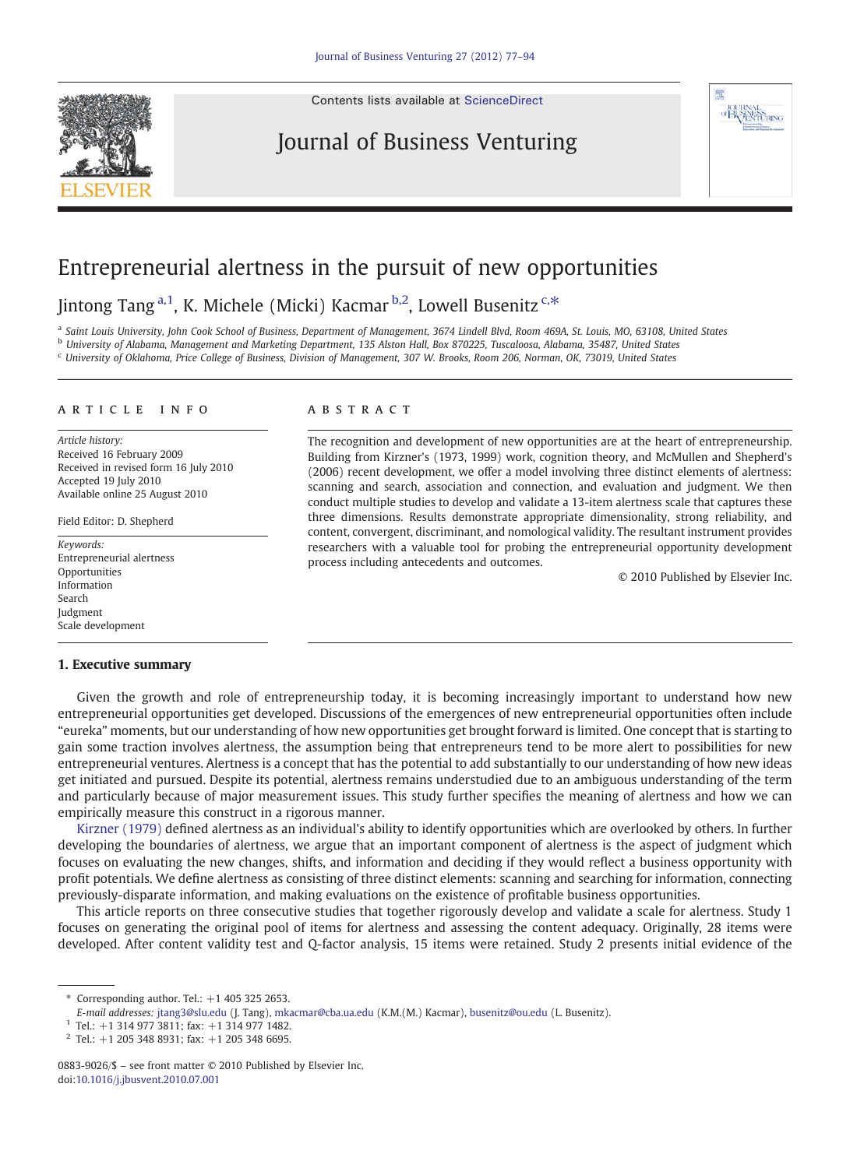

Contents lists available at [ScienceDirect](http://www.sciencedirect.com/science/journal/08839026)

# Journal of Business Venturing



# Entrepreneurial alertness in the pursuit of new opportunities

Jintong Tang  $a,1$ , K. Michele (Micki) Kacmar  $b,2$ , Lowell Busenitz  $c, *$ 

a Saint Louis University, John Cook School of Business, Department of Management, 3674 Lindell Blvd, Room 469A, St. Louis, MO, 63108, United States

<sup>b</sup> University of Alabama, Management and Marketing Department, 135 Alston Hall, Box 870225, Tuscaloosa, Alabama, 35487, United States

<sup>c</sup> University of Oklahoma, Price College of Business, Division of Management, 307 W. Brooks, Room 206, Norman, OK, 73019, United States

# article info abstract

Article history: Received 16 February 2009 Received in revised form 16 July 2010 Accepted 19 July 2010 Available online 25 August 2010

Field Editor: D. Shepherd

Keywords: Entrepreneurial alertness Opportunities Information Search Judgment Scale development

#### 1. Executive summary

The recognition and development of new opportunities are at the heart of entrepreneurship. Building from Kirzner's (1973, 1999) work, cognition theory, and McMullen and Shepherd's (2006) recent development, we offer a model involving three distinct elements of alertness: scanning and search, association and connection, and evaluation and judgment. We then conduct multiple studies to develop and validate a 13-item alertness scale that captures these three dimensions. Results demonstrate appropriate dimensionality, strong reliability, and content, convergent, discriminant, and nomological validity. The resultant instrument provides researchers with a valuable tool for probing the entrepreneurial opportunity development process including antecedents and outcomes.

© 2010 Published by Elsevier Inc.

Given the growth and role of entrepreneurship today, it is becoming increasingly important to understand how new entrepreneurial opportunities get developed. Discussions of the emergences of new entrepreneurial opportunities often include "eureka" moments, but our understanding of how new opportunities get brought forward is limited. One concept that is starting to gain some traction involves alertness, the assumption being that entrepreneurs tend to be more alert to possibilities for new entrepreneurial ventures. Alertness is a concept that has the potential to add substantially to our understanding of how new ideas get initiated and pursued. Despite its potential, alertness remains understudied due to an ambiguous understanding of the term and particularly because of major measurement issues. This study further specifies the meaning of alertness and how we can empirically measure this construct in a rigorous manner.

[Kirzner \(1979\)](#page-16-0) defined alertness as an individual's ability to identify opportunities which are overlooked by others. In further developing the boundaries of alertness, we argue that an important component of alertness is the aspect of judgment which focuses on evaluating the new changes, shifts, and information and deciding if they would reflect a business opportunity with profit potentials. We define alertness as consisting of three distinct elements: scanning and searching for information, connecting previously-disparate information, and making evaluations on the existence of profitable business opportunities.

This article reports on three consecutive studies that together rigorously develop and validate a scale for alertness. Study 1 focuses on generating the original pool of items for alertness and assessing the content adequacy. Originally, 28 items were developed. After content validity test and Q-factor analysis, 15 items were retained. Study 2 presents initial evidence of the

 $*$  Corresponding author. Tel.:  $+1$  405 325 2653.

E-mail addresses: [jtang3@slu.edu](mailto:jtang3@slu.edu) (J. Tang), [mkacmar@cba.ua.edu](mailto:mkacmar@cba.ua.edu) (K.M.(M.) Kacmar), [busenitz@ou.edu](mailto:busenitz@ou.edu) (L. Busenitz).

 $1$  Tel.: +1 314 977 3811; fax: +1 314 977 1482.

 $2$  Tel.: +1 205 348 8931; fax: +1 205 348 6695.

<sup>0883-9026/\$</sup> – see front matter © 2010 Published by Elsevier Inc. doi[:10.1016/j.jbusvent.2010.07.001](http://dx.doi.org/10.1016/j.jbusvent.2010.07.001)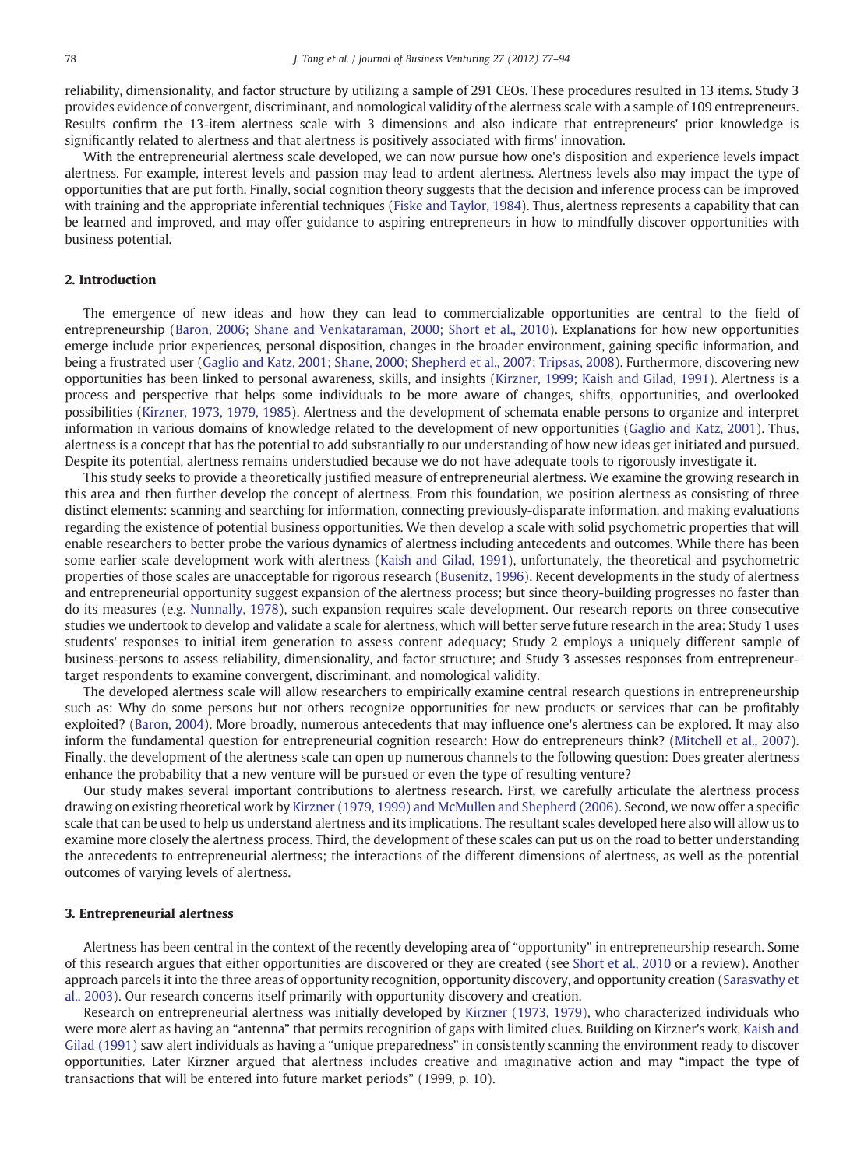reliability, dimensionality, and factor structure by utilizing a sample of 291 CEOs. These procedures resulted in 13 items. Study 3 provides evidence of convergent, discriminant, and nomological validity of the alertness scale with a sample of 109 entrepreneurs. Results confirm the 13-item alertness scale with 3 dimensions and also indicate that entrepreneurs' prior knowledge is significantly related to alertness and that alertness is positively associated with firms' innovation.

With the entrepreneurial alertness scale developed, we can now pursue how one's disposition and experience levels impact alertness. For example, interest levels and passion may lead to ardent alertness. Alertness levels also may impact the type of opportunities that are put forth. Finally, social cognition theory suggests that the decision and inference process can be improved with training and the appropriate inferential techniques [\(Fiske and Taylor, 1984](#page-16-0)). Thus, alertness represents a capability that can be learned and improved, and may offer guidance to aspiring entrepreneurs in how to mindfully discover opportunities with business potential.

# 2. Introduction

The emergence of new ideas and how they can lead to commercializable opportunities are central to the field of entrepreneurship [\(Baron, 2006; Shane and Venkataraman, 2000; Short et al., 2010\)](#page-15-0). Explanations for how new opportunities emerge include prior experiences, personal disposition, changes in the broader environment, gaining specific information, and being a frustrated user ([Gaglio and Katz, 2001; Shane, 2000; Shepherd et al., 2007; Tripsas, 2008](#page-16-0)). Furthermore, discovering new opportunities has been linked to personal awareness, skills, and insights ([Kirzner, 1999; Kaish and Gilad, 1991](#page-16-0)). Alertness is a process and perspective that helps some individuals to be more aware of changes, shifts, opportunities, and overlooked possibilities [\(Kirzner, 1973, 1979, 1985\)](#page-16-0). Alertness and the development of schemata enable persons to organize and interpret information in various domains of knowledge related to the development of new opportunities ([Gaglio and Katz, 2001](#page-16-0)). Thus, alertness is a concept that has the potential to add substantially to our understanding of how new ideas get initiated and pursued. Despite its potential, alertness remains understudied because we do not have adequate tools to rigorously investigate it.

This study seeks to provide a theoretically justified measure of entrepreneurial alertness. We examine the growing research in this area and then further develop the concept of alertness. From this foundation, we position alertness as consisting of three distinct elements: scanning and searching for information, connecting previously-disparate information, and making evaluations regarding the existence of potential business opportunities. We then develop a scale with solid psychometric properties that will enable researchers to better probe the various dynamics of alertness including antecedents and outcomes. While there has been some earlier scale development work with alertness ([Kaish and Gilad, 1991\)](#page-16-0), unfortunately, the theoretical and psychometric properties of those scales are unacceptable for rigorous research ([Busenitz, 1996\)](#page-15-0). Recent developments in the study of alertness and entrepreneurial opportunity suggest expansion of the alertness process; but since theory-building progresses no faster than do its measures (e.g. [Nunnally, 1978](#page-16-0)), such expansion requires scale development. Our research reports on three consecutive studies we undertook to develop and validate a scale for alertness, which will better serve future research in the area: Study 1 uses students' responses to initial item generation to assess content adequacy; Study 2 employs a uniquely different sample of business-persons to assess reliability, dimensionality, and factor structure; and Study 3 assesses responses from entrepreneurtarget respondents to examine convergent, discriminant, and nomological validity.

The developed alertness scale will allow researchers to empirically examine central research questions in entrepreneurship such as: Why do some persons but not others recognize opportunities for new products or services that can be profitably exploited? ([Baron, 2004](#page-15-0)). More broadly, numerous antecedents that may influence one's alertness can be explored. It may also inform the fundamental question for entrepreneurial cognition research: How do entrepreneurs think? ([Mitchell et al., 2007](#page-16-0)). Finally, the development of the alertness scale can open up numerous channels to the following question: Does greater alertness enhance the probability that a new venture will be pursued or even the type of resulting venture?

Our study makes several important contributions to alertness research. First, we carefully articulate the alertness process drawing on existing theoretical work by [Kirzner \(1979, 1999\) and McMullen and Shepherd \(2006\)](#page-16-0). Second, we now offer a specific scale that can be used to help us understand alertness and its implications. The resultant scales developed here also will allow us to examine more closely the alertness process. Third, the development of these scales can put us on the road to better understanding the antecedents to entrepreneurial alertness; the interactions of the different dimensions of alertness, as well as the potential outcomes of varying levels of alertness.

#### 3. Entrepreneurial alertness

Alertness has been central in the context of the recently developing area of "opportunity" in entrepreneurship research. Some of this research argues that either opportunities are discovered or they are created (see [Short et al., 2010](#page-17-0) or a review). Another approach parcels it into the three areas of opportunity recognition, opportunity discovery, and opportunity creation [\(Sarasvathy et](#page-16-0) [al., 2003\)](#page-16-0). Our research concerns itself primarily with opportunity discovery and creation.

Research on entrepreneurial alertness was initially developed by [Kirzner \(1973, 1979\)](#page-16-0), who characterized individuals who were more alert as having an "antenna" that permits recognition of gaps with limited clues. Building on Kirzner's work, [Kaish and](#page-16-0) [Gilad \(1991\)](#page-16-0) saw alert individuals as having a "unique preparedness" in consistently scanning the environment ready to discover opportunities. Later Kirzner argued that alertness includes creative and imaginative action and may "impact the type of transactions that will be entered into future market periods" (1999, p. 10).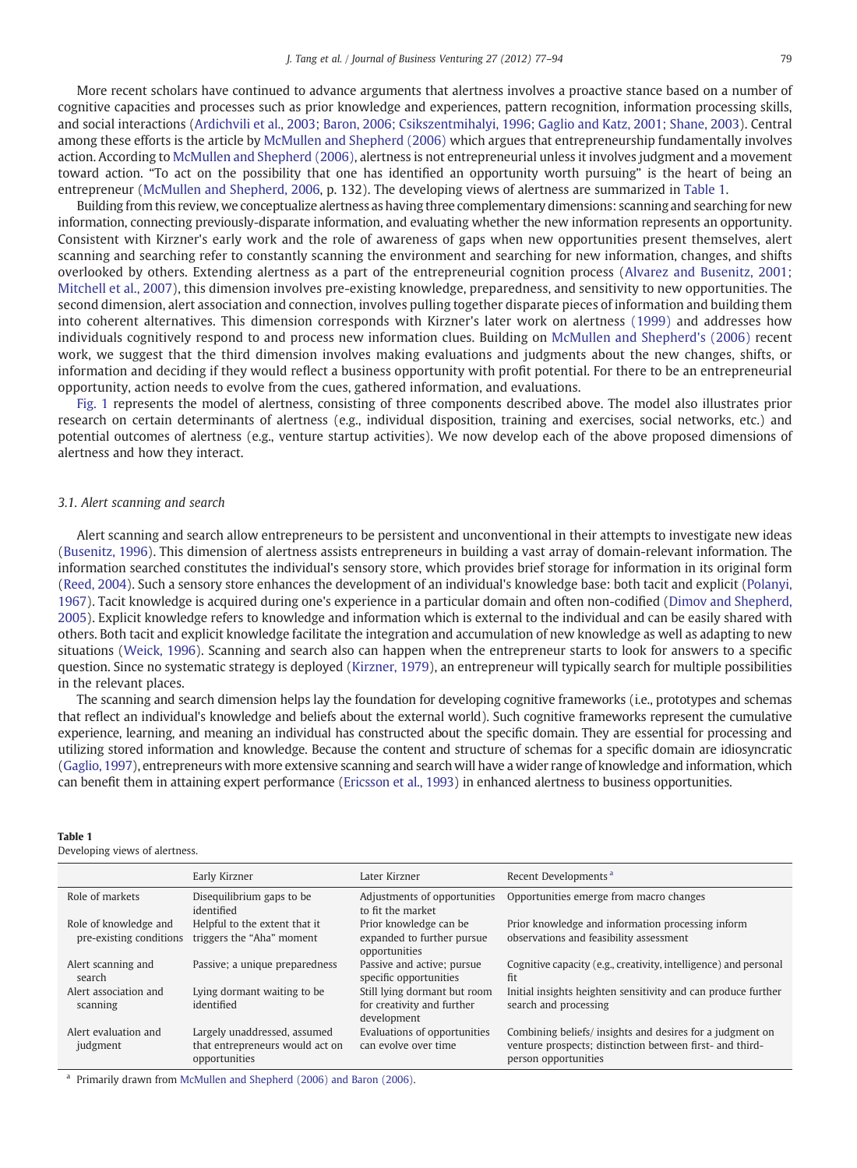More recent scholars have continued to advance arguments that alertness involves a proactive stance based on a number of cognitive capacities and processes such as prior knowledge and experiences, pattern recognition, information processing skills, and social interactions ([Ardichvili et al., 2003; Baron, 2006; Csikszentmihalyi, 1996; Gaglio and Katz, 2001; Shane, 2003\)](#page-15-0). Central among these efforts is the article by [McMullen and Shepherd \(2006\)](#page-16-0) which argues that entrepreneurship fundamentally involves action. According to [McMullen and Shepherd \(2006\)](#page-16-0), alertness is not entrepreneurial unless it involves judgment and a movement toward action. "To act on the possibility that one has identified an opportunity worth pursuing" is the heart of being an entrepreneur ([McMullen and Shepherd, 2006](#page-16-0), p. 132). The developing views of alertness are summarized in Table 1.

Building from this review, we conceptualize alertness as having three complementary dimensions: scanning and searching for new information, connecting previously-disparate information, and evaluating whether the new information represents an opportunity. Consistent with Kirzner's early work and the role of awareness of gaps when new opportunities present themselves, alert scanning and searching refer to constantly scanning the environment and searching for new information, changes, and shifts overlooked by others. Extending alertness as a part of the entrepreneurial cognition process ([Alvarez and Busenitz, 2001;](#page-15-0) [Mitchell et al., 2007](#page-15-0)), this dimension involves pre-existing knowledge, preparedness, and sensitivity to new opportunities. The second dimension, alert association and connection, involves pulling together disparate pieces of information and building them into coherent alternatives. This dimension corresponds with Kirzner's later work on alertness [\(1999\)](#page-16-0) and addresses how individuals cognitively respond to and process new information clues. Building on [McMullen and Shepherd's \(2006\)](#page-16-0) recent work, we suggest that the third dimension involves making evaluations and judgments about the new changes, shifts, or information and deciding if they would reflect a business opportunity with profit potential. For there to be an entrepreneurial opportunity, action needs to evolve from the cues, gathered information, and evaluations.

[Fig. 1](#page-3-0) represents the model of alertness, consisting of three components described above. The model also illustrates prior research on certain determinants of alertness (e.g., individual disposition, training and exercises, social networks, etc.) and potential outcomes of alertness (e.g., venture startup activities). We now develop each of the above proposed dimensions of alertness and how they interact.

#### 3.1. Alert scanning and search

Alert scanning and search allow entrepreneurs to be persistent and unconventional in their attempts to investigate new ideas [\(Busenitz, 1996\)](#page-15-0). This dimension of alertness assists entrepreneurs in building a vast array of domain-relevant information. The information searched constitutes the individual's sensory store, which provides brief storage for information in its original form [\(Reed, 2004](#page-16-0)). Such a sensory store enhances the development of an individual's knowledge base: both tacit and explicit ([Polanyi,](#page-16-0) [1967](#page-16-0)). Tacit knowledge is acquired during one's experience in a particular domain and often non-codified ([Dimov and Shepherd,](#page-16-0) [2005](#page-16-0)). Explicit knowledge refers to knowledge and information which is external to the individual and can be easily shared with others. Both tacit and explicit knowledge facilitate the integration and accumulation of new knowledge as well as adapting to new situations ([Weick, 1996](#page-17-0)). Scanning and search also can happen when the entrepreneur starts to look for answers to a specific question. Since no systematic strategy is deployed ([Kirzner, 1979](#page-16-0)), an entrepreneur will typically search for multiple possibilities in the relevant places.

The scanning and search dimension helps lay the foundation for developing cognitive frameworks (i.e., prototypes and schemas that reflect an individual's knowledge and beliefs about the external world). Such cognitive frameworks represent the cumulative experience, learning, and meaning an individual has constructed about the specific domain. They are essential for processing and utilizing stored information and knowledge. Because the content and structure of schemas for a specific domain are idiosyncratic [\(Gaglio, 1997\)](#page-16-0), entrepreneurs with more extensive scanning and search will have a wider range of knowledge and information, which can benefit them in attaining expert performance [\(Ericsson et al., 1993](#page-16-0)) in enhanced alertness to business opportunities.

#### Table 1

#### Developing views of alertness.

|                                                  | Early Kirzner                                                                    | Later Kirzner                                                             | Recent Developments <sup>a</sup>                                                                                                             |
|--------------------------------------------------|----------------------------------------------------------------------------------|---------------------------------------------------------------------------|----------------------------------------------------------------------------------------------------------------------------------------------|
| Role of markets                                  | Disequilibrium gaps to be<br>identified                                          | Adjustments of opportunities<br>to fit the market                         | Opportunities emerge from macro changes                                                                                                      |
| Role of knowledge and<br>pre-existing conditions | Helpful to the extent that it<br>triggers the "Aha" moment                       | Prior knowledge can be<br>expanded to further pursue<br>opportunities     | Prior knowledge and information processing inform<br>observations and feasibility assessment                                                 |
| Alert scanning and<br>search                     | Passive; a unique preparedness                                                   | Passive and active; pursue<br>specific opportunities                      | Cognitive capacity (e.g., creativity, intelligence) and personal<br>fit                                                                      |
| Alert association and<br>scanning                | Lying dormant waiting to be<br>identified                                        | Still lying dormant but room<br>for creativity and further<br>development | Initial insights heighten sensitivity and can produce further<br>search and processing                                                       |
| Alert evaluation and<br>judgment                 | Largely unaddressed, assumed<br>that entrepreneurs would act on<br>opportunities | Evaluations of opportunities<br>can evolve over time                      | Combining beliefs/insights and desires for a judgment on<br>venture prospects; distinction between first- and third-<br>person opportunities |

<sup>a</sup> Primarily drawn from [McMullen and Shepherd \(2006\) and Baron \(2006\).](#page-16-0)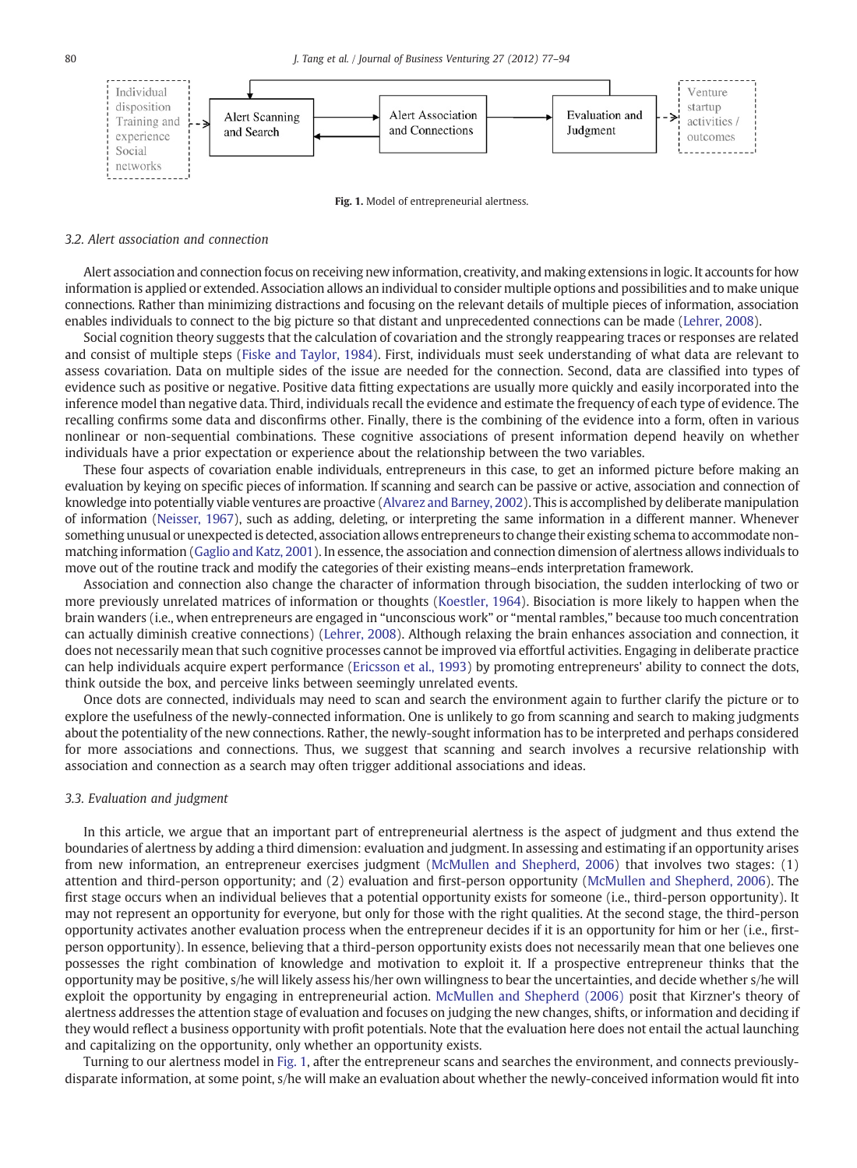<span id="page-3-0"></span>80 **J. Tang et al. / Journal of Business Venturing 27 (2012) 77-94** 



Fig. 1. Model of entrepreneurial alertness.

## 3.2. Alert association and connection

Alert association and connection focus on receiving new information, creativity, and making extensions in logic. It accounts for how information is applied or extended. Association allows an individual to consider multiple options and possibilities and to make unique connections. Rather than minimizing distractions and focusing on the relevant details of multiple pieces of information, association enables individuals to connect to the big picture so that distant and unprecedented connections can be made [\(Lehrer, 2008\)](#page-16-0).

Social cognition theory suggests that the calculation of covariation and the strongly reappearing traces or responses are related and consist of multiple steps ([Fiske and Taylor, 1984\)](#page-16-0). First, individuals must seek understanding of what data are relevant to assess covariation. Data on multiple sides of the issue are needed for the connection. Second, data are classified into types of evidence such as positive or negative. Positive data fitting expectations are usually more quickly and easily incorporated into the inference model than negative data. Third, individuals recall the evidence and estimate the frequency of each type of evidence. The recalling confirms some data and disconfirms other. Finally, there is the combining of the evidence into a form, often in various nonlinear or non-sequential combinations. These cognitive associations of present information depend heavily on whether individuals have a prior expectation or experience about the relationship between the two variables.

These four aspects of covariation enable individuals, entrepreneurs in this case, to get an informed picture before making an evaluation by keying on specific pieces of information. If scanning and search can be passive or active, association and connection of knowledge into potentially viable ventures are proactive [\(Alvarez and Barney, 2002](#page-15-0)). This is accomplished by deliberate manipulation of information ([Neisser, 1967](#page-16-0)), such as adding, deleting, or interpreting the same information in a different manner. Whenever something unusual or unexpected is detected, association allows entrepreneurs to change their existing schema to accommodate nonmatching information [\(Gaglio and Katz, 2001](#page-16-0)). In essence, the association and connection dimension of alertness allows individuals to move out of the routine track and modify the categories of their existing means–ends interpretation framework.

Association and connection also change the character of information through bisociation, the sudden interlocking of two or more previously unrelated matrices of information or thoughts [\(Koestler, 1964\)](#page-16-0). Bisociation is more likely to happen when the brain wanders (i.e., when entrepreneurs are engaged in "unconscious work" or "mental rambles," because too much concentration can actually diminish creative connections) ([Lehrer, 2008\)](#page-16-0). Although relaxing the brain enhances association and connection, it does not necessarily mean that such cognitive processes cannot be improved via effortful activities. Engaging in deliberate practice can help individuals acquire expert performance [\(Ericsson et al., 1993](#page-16-0)) by promoting entrepreneurs' ability to connect the dots, think outside the box, and perceive links between seemingly unrelated events.

Once dots are connected, individuals may need to scan and search the environment again to further clarify the picture or to explore the usefulness of the newly-connected information. One is unlikely to go from scanning and search to making judgments about the potentiality of the new connections. Rather, the newly-sought information has to be interpreted and perhaps considered for more associations and connections. Thus, we suggest that scanning and search involves a recursive relationship with association and connection as a search may often trigger additional associations and ideas.

# 3.3. Evaluation and judgment

In this article, we argue that an important part of entrepreneurial alertness is the aspect of judgment and thus extend the boundaries of alertness by adding a third dimension: evaluation and judgment. In assessing and estimating if an opportunity arises from new information, an entrepreneur exercises judgment [\(McMullen and Shepherd, 2006](#page-16-0)) that involves two stages: (1) attention and third-person opportunity; and (2) evaluation and first-person opportunity [\(McMullen and Shepherd, 2006](#page-16-0)). The first stage occurs when an individual believes that a potential opportunity exists for someone (i.e., third-person opportunity). It may not represent an opportunity for everyone, but only for those with the right qualities. At the second stage, the third-person opportunity activates another evaluation process when the entrepreneur decides if it is an opportunity for him or her (i.e., firstperson opportunity). In essence, believing that a third-person opportunity exists does not necessarily mean that one believes one possesses the right combination of knowledge and motivation to exploit it. If a prospective entrepreneur thinks that the opportunity may be positive, s/he will likely assess his/her own willingness to bear the uncertainties, and decide whether s/he will exploit the opportunity by engaging in entrepreneurial action. [McMullen and Shepherd \(2006\)](#page-16-0) posit that Kirzner's theory of alertness addresses the attention stage of evaluation and focuses on judging the new changes, shifts, or information and deciding if they would reflect a business opportunity with profit potentials. Note that the evaluation here does not entail the actual launching and capitalizing on the opportunity, only whether an opportunity exists.

Turning to our alertness model in Fig. 1, after the entrepreneur scans and searches the environment, and connects previouslydisparate information, at some point, s/he will make an evaluation about whether the newly-conceived information would fit into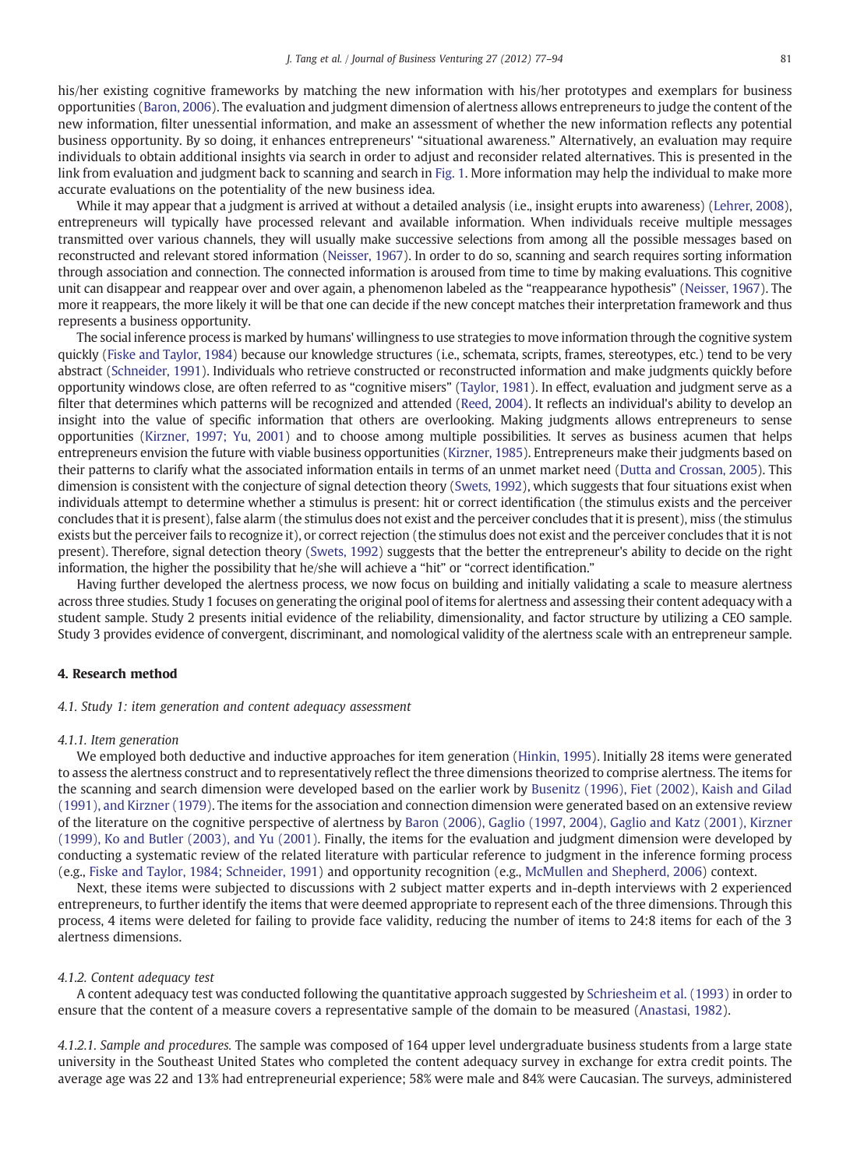his/her existing cognitive frameworks by matching the new information with his/her prototypes and exemplars for business opportunities [\(Baron, 2006](#page-15-0)). The evaluation and judgment dimension of alertness allows entrepreneurs to judge the content of the new information, filter unessential information, and make an assessment of whether the new information reflects any potential business opportunity. By so doing, it enhances entrepreneurs' "situational awareness." Alternatively, an evaluation may require individuals to obtain additional insights via search in order to adjust and reconsider related alternatives. This is presented in the link from evaluation and judgment back to scanning and search in [Fig. 1](#page-3-0). More information may help the individual to make more accurate evaluations on the potentiality of the new business idea.

While it may appear that a judgment is arrived at without a detailed analysis (i.e., insight erupts into awareness) [\(Lehrer, 2008\)](#page-16-0), entrepreneurs will typically have processed relevant and available information. When individuals receive multiple messages transmitted over various channels, they will usually make successive selections from among all the possible messages based on reconstructed and relevant stored information [\(Neisser, 1967](#page-16-0)). In order to do so, scanning and search requires sorting information through association and connection. The connected information is aroused from time to time by making evaluations. This cognitive unit can disappear and reappear over and over again, a phenomenon labeled as the "reappearance hypothesis" [\(Neisser, 1967\)](#page-16-0). The more it reappears, the more likely it will be that one can decide if the new concept matches their interpretation framework and thus represents a business opportunity.

The social inference process is marked by humans' willingness to use strategies to move information through the cognitive system quickly [\(Fiske and Taylor, 1984\)](#page-16-0) because our knowledge structures (i.e., schemata, scripts, frames, stereotypes, etc.) tend to be very abstract ([Schneider, 1991\)](#page-16-0). Individuals who retrieve constructed or reconstructed information and make judgments quickly before opportunity windows close, are often referred to as "cognitive misers" ([Taylor, 1981\)](#page-17-0). In effect, evaluation and judgment serve as a filter that determines which patterns will be recognized and attended ([Reed, 2004](#page-16-0)). It reflects an individual's ability to develop an insight into the value of specific information that others are overlooking. Making judgments allows entrepreneurs to sense opportunities [\(Kirzner, 1997; Yu, 2001\)](#page-16-0) and to choose among multiple possibilities. It serves as business acumen that helps entrepreneurs envision the future with viable business opportunities ([Kirzner, 1985](#page-16-0)). Entrepreneurs make their judgments based on their patterns to clarify what the associated information entails in terms of an unmet market need ([Dutta and Crossan, 2005\)](#page-16-0). This dimension is consistent with the conjecture of signal detection theory [\(Swets, 1992\)](#page-17-0), which suggests that four situations exist when individuals attempt to determine whether a stimulus is present: hit or correct identification (the stimulus exists and the perceiver concludes that it is present), false alarm (the stimulus does not exist and the perceiver concludes that it is present), miss (the stimulus exists but the perceiver fails to recognize it), or correct rejection (the stimulus does not exist and the perceiver concludes that it is not present). Therefore, signal detection theory [\(Swets, 1992](#page-17-0)) suggests that the better the entrepreneur's ability to decide on the right information, the higher the possibility that he/she will achieve a "hit" or "correct identification."

Having further developed the alertness process, we now focus on building and initially validating a scale to measure alertness across three studies. Study 1 focuses on generating the original pool of items for alertness and assessing their content adequacy with a student sample. Study 2 presents initial evidence of the reliability, dimensionality, and factor structure by utilizing a CEO sample. Study 3 provides evidence of convergent, discriminant, and nomological validity of the alertness scale with an entrepreneur sample.

# 4. Research method

## 4.1. Study 1: item generation and content adequacy assessment

## 4.1.1. Item generation

We employed both deductive and inductive approaches for item generation [\(Hinkin, 1995\)](#page-16-0). Initially 28 items were generated to assess the alertness construct and to representatively reflect the three dimensions theorized to comprise alertness. The items for the scanning and search dimension were developed based on the earlier work by [Busenitz \(1996\), Fiet \(2002\), Kaish and Gilad](#page-15-0) [\(1991\), and Kirzner \(1979\).](#page-15-0) The items for the association and connection dimension were generated based on an extensive review of the literature on the cognitive perspective of alertness by [Baron \(2006\), Gaglio \(1997, 2004\), Gaglio and Katz \(2001\), Kirzner](#page-15-0) [\(1999\), Ko and Butler \(2003\), and Yu \(2001\).](#page-15-0) Finally, the items for the evaluation and judgment dimension were developed by conducting a systematic review of the related literature with particular reference to judgment in the inference forming process (e.g., [Fiske and Taylor, 1984; Schneider, 1991](#page-16-0)) and opportunity recognition (e.g., [McMullen and Shepherd, 2006\)](#page-16-0) context.

Next, these items were subjected to discussions with 2 subject matter experts and in-depth interviews with 2 experienced entrepreneurs, to further identify the items that were deemed appropriate to represent each of the three dimensions. Through this process, 4 items were deleted for failing to provide face validity, reducing the number of items to 24:8 items for each of the 3 alertness dimensions.

#### 4.1.2. Content adequacy test

A content adequacy test was conducted following the quantitative approach suggested by [Schriesheim et al. \(1993\)](#page-16-0) in order to ensure that the content of a measure covers a representative sample of the domain to be measured [\(Anastasi, 1982\)](#page-15-0).

4.1.2.1. Sample and procedures. The sample was composed of 164 upper level undergraduate business students from a large state university in the Southeast United States who completed the content adequacy survey in exchange for extra credit points. The average age was 22 and 13% had entrepreneurial experience; 58% were male and 84% were Caucasian. The surveys, administered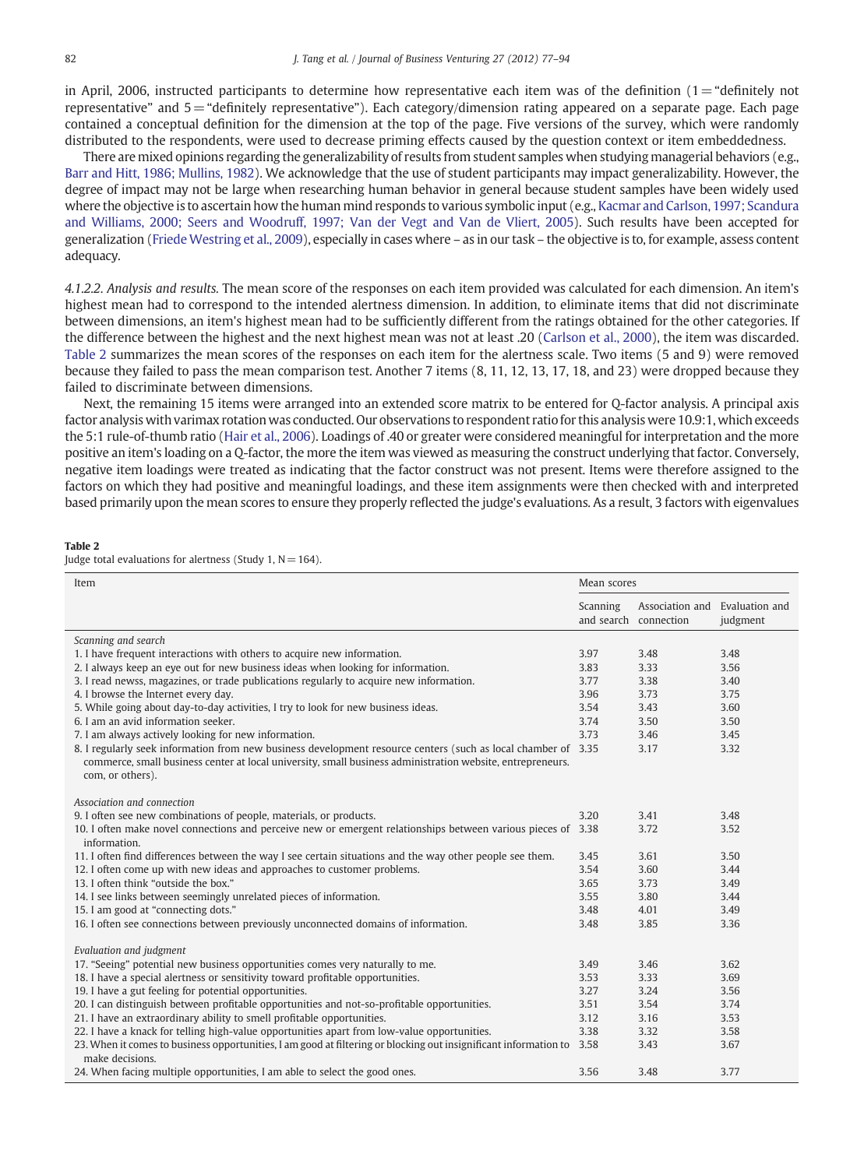in April, 2006, instructed participants to determine how representative each item was of the definition  $(1=$ "definitely not representative" and 5 = "definitely representative"). Each category/dimension rating appeared on a separate page. Each page contained a conceptual definition for the dimension at the top of the page. Five versions of the survey, which were randomly distributed to the respondents, were used to decrease priming effects caused by the question context or item embeddedness.

There are mixed opinions regarding the generalizability of results from student samples when studying managerial behaviors (e.g., [Barr and Hitt, 1986; Mullins, 1982\)](#page-15-0). We acknowledge that the use of student participants may impact generalizability. However, the degree of impact may not be large when researching human behavior in general because student samples have been widely used where the objective is to ascertain how the human mind responds to various symbolic input (e.g., [Kacmar and Carlson, 1997; Scandura](#page-16-0) [and Williams, 2000; Seers and Woodruff, 1997; Van der Vegt and Van de Vliert, 2005](#page-16-0)). Such results have been accepted for generalization ([Friede Westring et al., 2009](#page-16-0)), especially in cases where – as in our task – the objective is to, for example, assess content adequacy.

4.1.2.2. Analysis and results. The mean score of the responses on each item provided was calculated for each dimension. An item's highest mean had to correspond to the intended alertness dimension. In addition, to eliminate items that did not discriminate between dimensions, an item's highest mean had to be sufficiently different from the ratings obtained for the other categories. If the difference between the highest and the next highest mean was not at least .20 [\(Carlson et al., 2000\)](#page-15-0), the item was discarded. Table 2 summarizes the mean scores of the responses on each item for the alertness scale. Two items (5 and 9) were removed because they failed to pass the mean comparison test. Another 7 items (8, 11, 12, 13, 17, 18, and 23) were dropped because they failed to discriminate between dimensions.

Next, the remaining 15 items were arranged into an extended score matrix to be entered for Q-factor analysis. A principal axis factor analysis with varimax rotation was conducted. Our observations to respondent ratio for this analysis were 10.9:1, which exceeds the 5:1 rule-of-thumb ratio [\(Hair et al., 2006](#page-16-0)). Loadings of .40 or greater were considered meaningful for interpretation and the more positive an item's loading on a Q-factor, the more the item was viewed as measuring the construct underlying that factor. Conversely, negative item loadings were treated as indicating that the factor construct was not present. Items were therefore assigned to the factors on which they had positive and meaningful loadings, and these item assignments were then checked with and interpreted based primarily upon the mean scores to ensure they properly reflected the judge's evaluations. As a result, 3 factors with eigenvalues

# Table 2

Judge total evaluations for alertness (Study 1,  $N = 164$ ).

| Item                                                                                                                                | Mean scores |                                          |                            |
|-------------------------------------------------------------------------------------------------------------------------------------|-------------|------------------------------------------|----------------------------|
|                                                                                                                                     | Scanning    | Association and<br>and search connection | Evaluation and<br>judgment |
| Scanning and search                                                                                                                 |             |                                          |                            |
| 1. I have frequent interactions with others to acquire new information.                                                             | 3.97        | 3.48                                     | 3.48                       |
| 2. I always keep an eye out for new business ideas when looking for information.                                                    | 3.83        | 3.33                                     | 3.56                       |
| 3. I read newss, magazines, or trade publications regularly to acquire new information.                                             | 3.77        | 3.38                                     | 3.40                       |
| 4. I browse the Internet every day.                                                                                                 | 3.96        | 3.73                                     | 3.75                       |
| 5. While going about day-to-day activities, I try to look for new business ideas.                                                   | 3.54        | 3.43                                     | 3.60                       |
| 6. I am an avid information seeker.                                                                                                 | 3.74        | 3.50                                     | 3.50                       |
| 7. I am always actively looking for new information.                                                                                | 3.73        | 3.46                                     | 3.45                       |
| 8. I regularly seek information from new business development resource centers (such as local chamber of 3.35                       |             | 3.17                                     | 3.32                       |
| commerce, small business center at local university, small business administration website, entrepreneurs.<br>com, or others).      |             |                                          |                            |
| Association and connection                                                                                                          |             |                                          |                            |
| 9. I often see new combinations of people, materials, or products.                                                                  | 3.20        | 3.41                                     | 3.48                       |
| 10. I often make novel connections and perceive new or emergent relationships between various pieces of 3.38<br>information.        |             | 3.72                                     | 3.52                       |
| 11. I often find differences between the way I see certain situations and the way other people see them.                            | 3.45        | 3.61                                     | 3.50                       |
| 12. I often come up with new ideas and approaches to customer problems.                                                             | 3.54        | 3.60                                     | 3.44                       |
| 13. Loften think "outside the box."                                                                                                 | 3.65        | 3.73                                     | 3.49                       |
| 14. I see links between seemingly unrelated pieces of information.                                                                  | 3.55        | 3.80                                     | 3.44                       |
| 15. I am good at "connecting dots."                                                                                                 | 3.48        | 4.01                                     | 3.49                       |
| 16. I often see connections between previously unconnected domains of information.                                                  | 3.48        | 3.85                                     | 3.36                       |
| Evaluation and judgment                                                                                                             |             |                                          |                            |
| 17. "Seeing" potential new business opportunities comes very naturally to me.                                                       | 3.49        | 3.46                                     | 3.62                       |
| 18. I have a special alertness or sensitivity toward profitable opportunities.                                                      | 3.53        | 3.33                                     | 3.69                       |
| 19. I have a gut feeling for potential opportunities.                                                                               | 3.27        | 3.24                                     | 3.56                       |
| 20. I can distinguish between profitable opportunities and not-so-profitable opportunities.                                         | 3.51        | 3.54                                     | 3.74                       |
| 21. I have an extraordinary ability to smell profitable opportunities.                                                              | 3.12        | 3.16                                     | 3.53                       |
| 22. I have a knack for telling high-value opportunities apart from low-value opportunities.                                         | 3.38        | 3.32                                     | 3.58                       |
| 23. When it comes to business opportunities, I am good at filtering or blocking out insignificant information to<br>make decisions. | 3.58        | 3.43                                     | 3.67                       |
| 24. When facing multiple opportunities, I am able to select the good ones.                                                          | 3.56        | 3.48                                     | 3.77                       |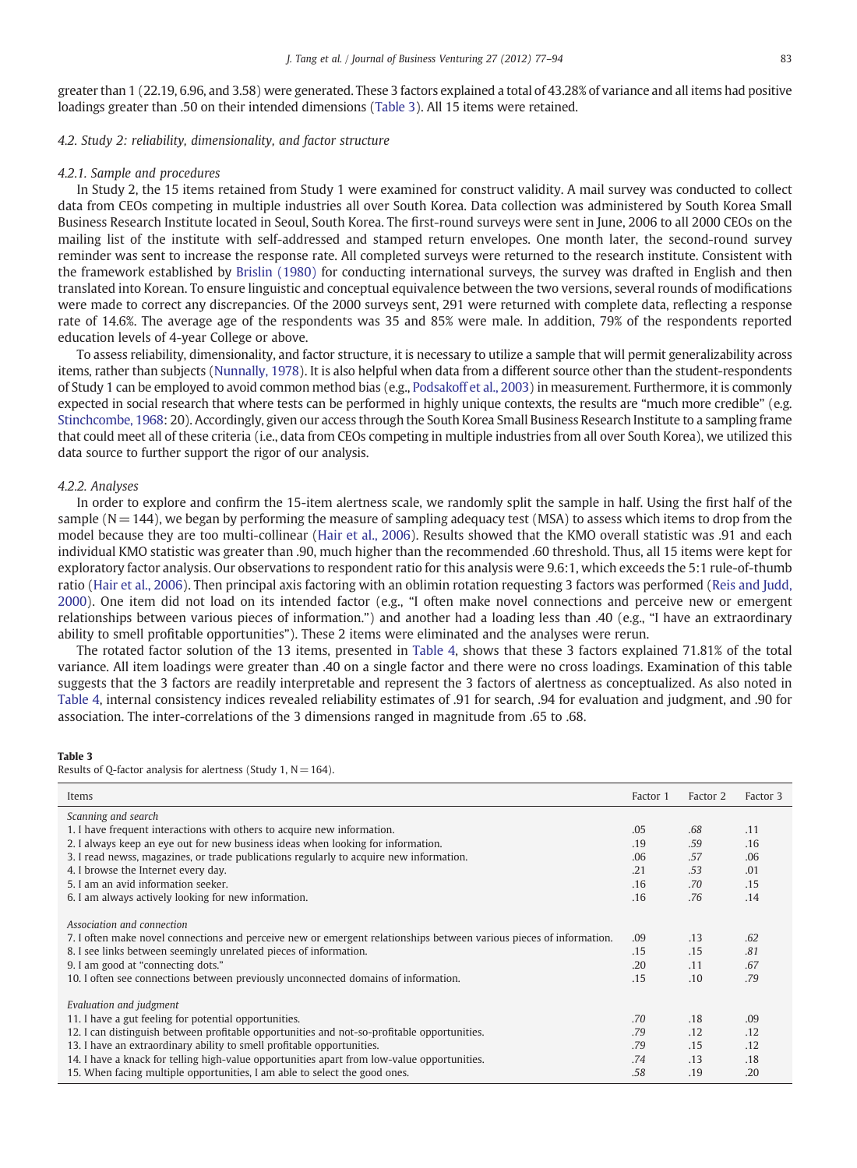greater than 1 (22.19, 6.96, and 3.58) were generated. These 3 factors explained a total of 43.28% of variance and all items had positive loadings greater than .50 on their intended dimensions (Table 3). All 15 items were retained.

# 4.2. Study 2: reliability, dimensionality, and factor structure

# 4.2.1. Sample and procedures

In Study 2, the 15 items retained from Study 1 were examined for construct validity. A mail survey was conducted to collect data from CEOs competing in multiple industries all over South Korea. Data collection was administered by South Korea Small Business Research Institute located in Seoul, South Korea. The first-round surveys were sent in June, 2006 to all 2000 CEOs on the mailing list of the institute with self-addressed and stamped return envelopes. One month later, the second-round survey reminder was sent to increase the response rate. All completed surveys were returned to the research institute. Consistent with the framework established by [Brislin \(1980\)](#page-15-0) for conducting international surveys, the survey was drafted in English and then translated into Korean. To ensure linguistic and conceptual equivalence between the two versions, several rounds of modifications were made to correct any discrepancies. Of the 2000 surveys sent, 291 were returned with complete data, reflecting a response rate of 14.6%. The average age of the respondents was 35 and 85% were male. In addition, 79% of the respondents reported education levels of 4-year College or above.

To assess reliability, dimensionality, and factor structure, it is necessary to utilize a sample that will permit generalizability across items, rather than subjects [\(Nunnally, 1978\)](#page-16-0). It is also helpful when data from a different source other than the student-respondents of Study 1 can be employed to avoid common method bias (e.g., [Podsakoff et al., 2003](#page-16-0)) in measurement. Furthermore, it is commonly expected in social research that where tests can be performed in highly unique contexts, the results are "much more credible" (e.g. [Stinchcombe, 1968:](#page-17-0) 20). Accordingly, given our access through the South Korea Small Business Research Institute to a sampling frame that could meet all of these criteria (i.e., data from CEOs competing in multiple industries from all over South Korea), we utilized this data source to further support the rigor of our analysis.

# 4.2.2. Analyses

In order to explore and confirm the 15-item alertness scale, we randomly split the sample in half. Using the first half of the sample ( $N = 144$ ), we began by performing the measure of sampling adequacy test (MSA) to assess which items to drop from the model because they are too multi-collinear ([Hair et al., 2006\)](#page-16-0). Results showed that the KMO overall statistic was .91 and each individual KMO statistic was greater than .90, much higher than the recommended .60 threshold. Thus, all 15 items were kept for exploratory factor analysis. Our observations to respondent ratio for this analysis were 9.6:1, which exceeds the 5:1 rule-of-thumb ratio [\(Hair et al., 2006\)](#page-16-0). Then principal axis factoring with an oblimin rotation requesting 3 factors was performed [\(Reis and Judd,](#page-16-0) [2000](#page-16-0)). One item did not load on its intended factor (e.g., "I often make novel connections and perceive new or emergent relationships between various pieces of information.") and another had a loading less than .40 (e.g., "I have an extraordinary ability to smell profitable opportunities"). These 2 items were eliminated and the analyses were rerun.

The rotated factor solution of the 13 items, presented in [Table 4](#page-7-0), shows that these 3 factors explained 71.81% of the total variance. All item loadings were greater than .40 on a single factor and there were no cross loadings. Examination of this table suggests that the 3 factors are readily interpretable and represent the 3 factors of alertness as conceptualized. As also noted in [Table 4](#page-7-0), internal consistency indices revealed reliability estimates of .91 for search, .94 for evaluation and judgment, and .90 for association. The inter-correlations of the 3 dimensions ranged in magnitude from .65 to .68.

#### Table 3

Results of Q-factor analysis for alertness (Study 1,  $N = 164$ ).

| Items                                                                                                               | Factor 1 | Factor 2 | Factor 3 |
|---------------------------------------------------------------------------------------------------------------------|----------|----------|----------|
| Scanning and search                                                                                                 |          |          |          |
| 1. I have frequent interactions with others to acquire new information.                                             | .05      | .68      | .11      |
| 2. I always keep an eye out for new business ideas when looking for information.                                    | .19      | .59      | .16      |
| 3. I read newss, magazines, or trade publications regularly to acquire new information.                             | .06      | .57      | .06      |
| 4. I browse the Internet every day.                                                                                 | .21      | .53      | .01      |
| 5. Lam an avid information seeker.                                                                                  | .16      | .70      | .15      |
| 6. I am always actively looking for new information.                                                                | .16      | .76      | .14      |
|                                                                                                                     |          |          |          |
| Association and connection                                                                                          |          |          |          |
| 7. I often make novel connections and perceive new or emergent relationships between various pieces of information. | .09      | .13      | .62      |
| 8. I see links between seemingly unrelated pieces of information.                                                   | .15      | .15      | .81      |
| 9. I am good at "connecting dots."                                                                                  | .20      | .11      | .67      |
| 10. I often see connections between previously unconnected domains of information.                                  | .15      | .10      | .79      |
|                                                                                                                     |          |          |          |
| Evaluation and judgment                                                                                             |          |          |          |
| 11. I have a gut feeling for potential opportunities.                                                               | .70      | .18      | .09      |
| 12. I can distinguish between profitable opportunities and not-so-profitable opportunities.                         | .79      | .12      | .12      |
| 13. I have an extraordinary ability to smell profitable opportunities.                                              | .79      | .15      | .12      |
| 14. I have a knack for telling high-value opportunities apart from low-value opportunities.                         | .74      | .13      | .18      |
| 15. When facing multiple opportunities, I am able to select the good ones.                                          | .58      | .19      | .20      |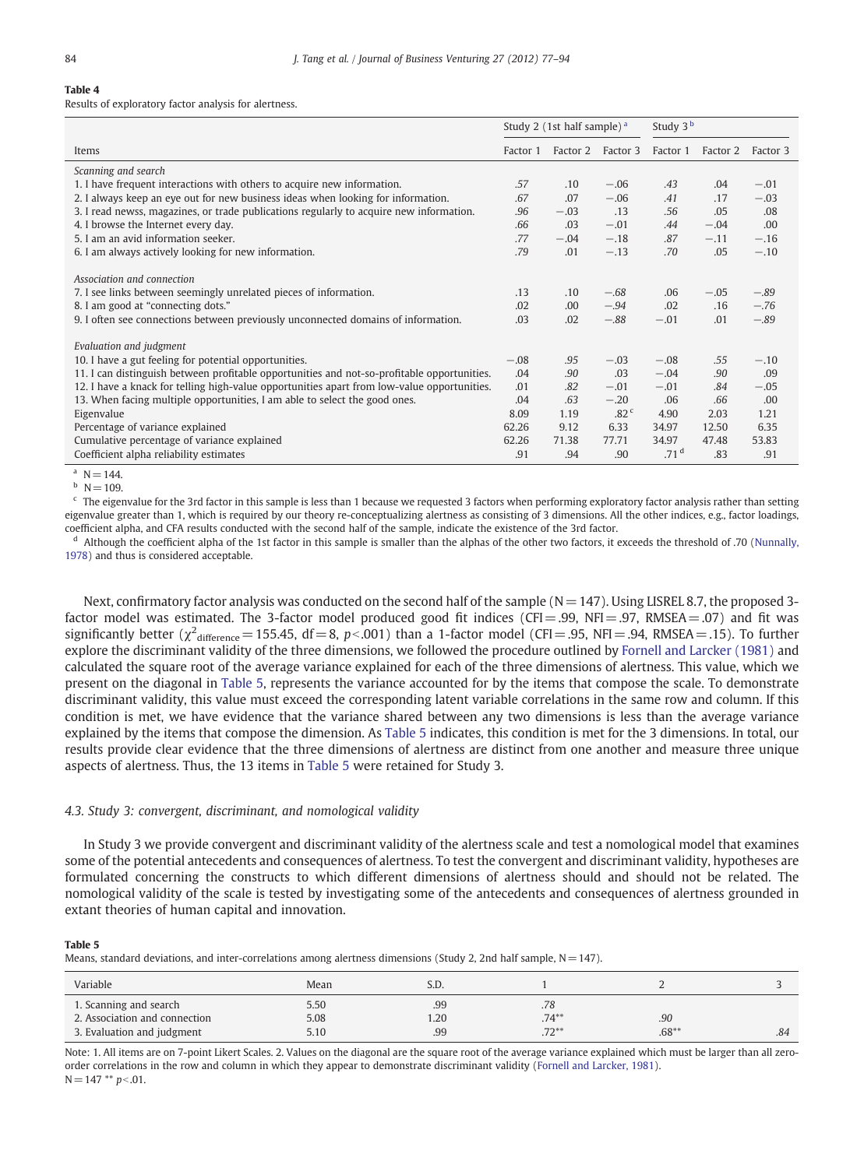# <span id="page-7-0"></span>Table 4

Results of exploratory factor analysis for alertness.

|                                                                                             |          | Study 2 (1st half sample) $a$ |               | Study 3 <sup>b</sup> |          |          |
|---------------------------------------------------------------------------------------------|----------|-------------------------------|---------------|----------------------|----------|----------|
| Items                                                                                       | Factor 1 | Factor 2                      | Factor 3      | Factor 1             | Factor 2 | Factor 3 |
| Scanning and search                                                                         |          |                               |               |                      |          |          |
| 1. I have frequent interactions with others to acquire new information.                     | .57      | .10                           | $-.06$        | .43                  | .04      | $-.01$   |
| 2. I always keep an eye out for new business ideas when looking for information.            | .67      | .07                           | $-.06$        | .41                  | .17      | $-.03$   |
| 3. I read newss, magazines, or trade publications regularly to acquire new information.     | .96      | $-.03$                        | .13           | .56                  | .05      | .08      |
| 4. I browse the Internet every day.                                                         | .66      | .03                           | $-.01$        | .44                  | $-.04$   | .00.     |
| 5. Lam an avid information seeker.                                                          | .77      | $-.04$                        | $-.18$        | .87                  | $-.11$   | $-.16$   |
| 6. I am always actively looking for new information.                                        | .79      | .01                           | $-.13$        | .70                  | .05      | $-.10$   |
|                                                                                             |          |                               |               |                      |          |          |
| Association and connection                                                                  |          |                               |               |                      |          |          |
| 7. I see links between seemingly unrelated pieces of information.                           | .13      | .10                           | $-.68$        | .06                  | $-.05$   | $-.89$   |
| 8. I am good at "connecting dots."                                                          | .02      | .00                           | $-.94$        | .02                  | .16      | $-.76$   |
| 9. I often see connections between previously unconnected domains of information.           | .03      | .02                           | $-.88$        | $-.01$               | .01      | $-.89$   |
| Evaluation and judgment                                                                     |          |                               |               |                      |          |          |
| 10. I have a gut feeling for potential opportunities.                                       | $-.08$   | .95                           | $-.03$        | $-.08$               | .55      | $-.10$   |
| 11. I can distinguish between profitable opportunities and not-so-profitable opportunities. | .04      | .90                           | .03           | $-.04$               | .90      | .09      |
| 12. I have a knack for telling high-value opportunities apart from low-value opportunities. | .01      | .82                           | $-.01$        | $-.01$               | .84      | $-.05$   |
| 13. When facing multiple opportunities, I am able to select the good ones.                  | .04      | .63                           | $-.20$        | .06                  | .66      | .00.     |
| Eigenvalue                                                                                  | 8.09     | 1.19                          | .82 $\degree$ | 4.90                 | 2.03     | 1.21     |
| Percentage of variance explained                                                            | 62.26    | 9.12                          | 6.33          | 34.97                | 12.50    | 6.35     |
| Cumulative percentage of variance explained                                                 | 62.26    | 71.38                         | 77.71         | 34.97                | 47.48    | 53.83    |
| Coefficient alpha reliability estimates                                                     | .91      | .94                           | .90           | .71 <sup>d</sup>     | .83      | .91      |
|                                                                                             |          |                               |               |                      |          |          |

 $N = 144.$ 

 $N = 109$ .

 $c$  The eigenvalue for the 3rd factor in this sample is less than 1 because we requested 3 factors when performing exploratory factor analysis rather than setting eigenvalue greater than 1, which is required by our theory re-conceptualizing alertness as consisting of 3 dimensions. All the other indices, e.g., factor loadings, coefficient alpha, and CFA results conducted with the second half of the sample, indicate the existence of the 3rd factor.

 $<sup>d</sup>$  Although the coefficient alpha of the 1st factor in this sample is smaller than the alphas of the other two factors, it exceeds the threshold of .70 [\(Nunnally,](#page-16-0)</sup> [1978\)](#page-16-0) and thus is considered acceptable.

Next, confirmatory factor analysis was conducted on the second half of the sample  $(N = 147)$ . Using LISREL 8.7, the proposed 3factor model was estimated. The 3-factor model produced good fit indices (CFI= .99, NFI = .97, RMSEA = .07) and fit was significantly better ( $\chi^2$ <sub>difference</sub> = 155.45, df = 8, p<.001) than a 1-factor model (CFI = .95, NFI = .94, RMSEA = .15). To further explore the discriminant validity of the three dimensions, we followed the procedure outlined by [Fornell and Larcker \(1981\)](#page-16-0) and calculated the square root of the average variance explained for each of the three dimensions of alertness. This value, which we present on the diagonal in Table 5, represents the variance accounted for by the items that compose the scale. To demonstrate discriminant validity, this value must exceed the corresponding latent variable correlations in the same row and column. If this condition is met, we have evidence that the variance shared between any two dimensions is less than the average variance explained by the items that compose the dimension. As Table 5 indicates, this condition is met for the 3 dimensions. In total, our results provide clear evidence that the three dimensions of alertness are distinct from one another and measure three unique aspects of alertness. Thus, the 13 items in Table 5 were retained for Study 3.

# 4.3. Study 3: convergent, discriminant, and nomological validity

In Study 3 we provide convergent and discriminant validity of the alertness scale and test a nomological model that examines some of the potential antecedents and consequences of alertness. To test the convergent and discriminant validity, hypotheses are formulated concerning the constructs to which different dimensions of alertness should and should not be related. The nomological validity of the scale is tested by investigating some of the antecedents and consequences of alertness grounded in extant theories of human capital and innovation.

#### Table 5

Means, standard deviations, and inter-correlations among alertness dimensions (Study 2, 2nd half sample,  $N= 147$ ).

| Variable                      | Mean | S.D. |          |          |     |
|-------------------------------|------|------|----------|----------|-----|
| 1. Scanning and search        | 5.50 | .99  | .78      |          |     |
| 2. Association and connection | 5.08 | .20  | $.74***$ | .90      |     |
| 3. Evaluation and judgment    | 5.10 | .99  | $72**$   | $.68***$ | .84 |

Note: 1. All items are on 7-point Likert Scales. 2. Values on the diagonal are the square root of the average variance explained which must be larger than all zeroorder correlations in the row and column in which they appear to demonstrate discriminant validity [\(Fornell and Larcker, 1981\)](#page-16-0).  $N = 147$  \*\*  $p < .01$ .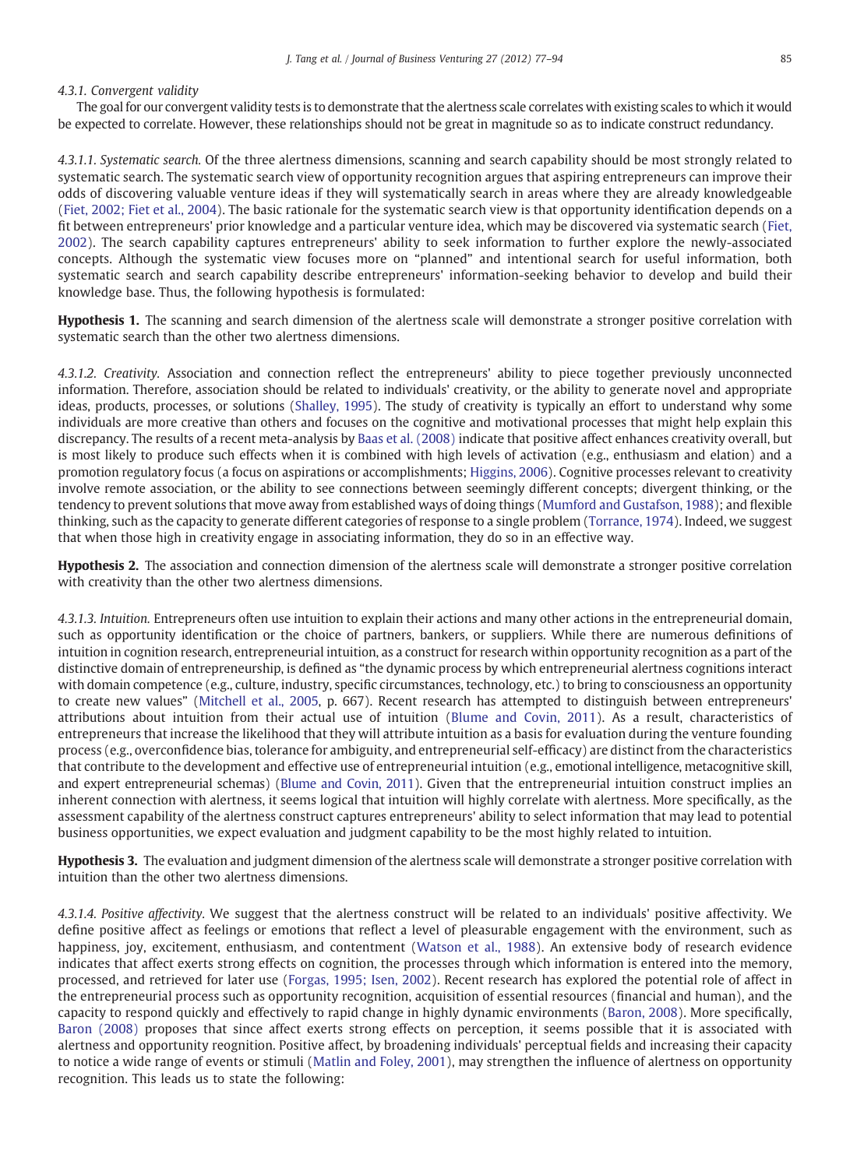# <span id="page-8-0"></span>4.3.1. Convergent validity

The goal for our convergent validity tests is to demonstrate that the alertness scale correlates with existing scales to which it would be expected to correlate. However, these relationships should not be great in magnitude so as to indicate construct redundancy.

4.3.1.1. Systematic search. Of the three alertness dimensions, scanning and search capability should be most strongly related to systematic search. The systematic search view of opportunity recognition argues that aspiring entrepreneurs can improve their odds of discovering valuable venture ideas if they will systematically search in areas where they are already knowledgeable [\(Fiet, 2002; Fiet et al., 2004\)](#page-16-0). The basic rationale for the systematic search view is that opportunity identification depends on a fit between entrepreneurs' prior knowledge and a particular venture idea, which may be discovered via systematic search ([Fiet,](#page-16-0) [2002](#page-16-0)). The search capability captures entrepreneurs' ability to seek information to further explore the newly-associated concepts. Although the systematic view focuses more on "planned" and intentional search for useful information, both systematic search and search capability describe entrepreneurs' information-seeking behavior to develop and build their knowledge base. Thus, the following hypothesis is formulated:

Hypothesis 1. The scanning and search dimension of the alertness scale will demonstrate a stronger positive correlation with systematic search than the other two alertness dimensions.

4.3.1.2. Creativity. Association and connection reflect the entrepreneurs' ability to piece together previously unconnected information. Therefore, association should be related to individuals' creativity, or the ability to generate novel and appropriate ideas, products, processes, or solutions [\(Shalley, 1995\)](#page-17-0). The study of creativity is typically an effort to understand why some individuals are more creative than others and focuses on the cognitive and motivational processes that might help explain this discrepancy. The results of a recent meta-analysis by [Baas et al. \(2008\)](#page-15-0) indicate that positive affect enhances creativity overall, but is most likely to produce such effects when it is combined with high levels of activation (e.g., enthusiasm and elation) and a promotion regulatory focus (a focus on aspirations or accomplishments; [Higgins, 2006\)](#page-16-0). Cognitive processes relevant to creativity involve remote association, or the ability to see connections between seemingly different concepts; divergent thinking, or the tendency to prevent solutions that move away from established ways of doing things ([Mumford and Gustafson, 1988](#page-16-0)); and flexible thinking, such as the capacity to generate different categories of response to a single problem [\(Torrance, 1974\)](#page-17-0). Indeed, we suggest that when those high in creativity engage in associating information, they do so in an effective way.

Hypothesis 2. The association and connection dimension of the alertness scale will demonstrate a stronger positive correlation with creativity than the other two alertness dimensions.

4.3.1.3. Intuition. Entrepreneurs often use intuition to explain their actions and many other actions in the entrepreneurial domain, such as opportunity identification or the choice of partners, bankers, or suppliers. While there are numerous definitions of intuition in cognition research, entrepreneurial intuition, as a construct for research within opportunity recognition as a part of the distinctive domain of entrepreneurship, is defined as "the dynamic process by which entrepreneurial alertness cognitions interact with domain competence (e.g., culture, industry, specific circumstances, technology, etc.) to bring to consciousness an opportunity to create new values" [\(Mitchell et al., 2005](#page-16-0), p. 667). Recent research has attempted to distinguish between entrepreneurs' attributions about intuition from their actual use of intuition ([Blume and Covin, 2011\)](#page-15-0). As a result, characteristics of entrepreneurs that increase the likelihood that they will attribute intuition as a basis for evaluation during the venture founding process (e.g., overconfidence bias, tolerance for ambiguity, and entrepreneurial self-efficacy) are distinct from the characteristics that contribute to the development and effective use of entrepreneurial intuition (e.g., emotional intelligence, metacognitive skill, and expert entrepreneurial schemas) [\(Blume and Covin, 2011](#page-15-0)). Given that the entrepreneurial intuition construct implies an inherent connection with alertness, it seems logical that intuition will highly correlate with alertness. More specifically, as the assessment capability of the alertness construct captures entrepreneurs' ability to select information that may lead to potential business opportunities, we expect evaluation and judgment capability to be the most highly related to intuition.

Hypothesis 3. The evaluation and judgment dimension of the alertness scale will demonstrate a stronger positive correlation with intuition than the other two alertness dimensions.

4.3.1.4. Positive affectivity. We suggest that the alertness construct will be related to an individuals' positive affectivity. We define positive affect as feelings or emotions that reflect a level of pleasurable engagement with the environment, such as happiness, joy, excitement, enthusiasm, and contentment ([Watson et al., 1988](#page-17-0)). An extensive body of research evidence indicates that affect exerts strong effects on cognition, the processes through which information is entered into the memory, processed, and retrieved for later use [\(Forgas, 1995; Isen, 2002](#page-16-0)). Recent research has explored the potential role of affect in the entrepreneurial process such as opportunity recognition, acquisition of essential resources (financial and human), and the capacity to respond quickly and effectively to rapid change in highly dynamic environments ([Baron, 2008\)](#page-15-0). More specifically, [Baron \(2008\)](#page-15-0) proposes that since affect exerts strong effects on perception, it seems possible that it is associated with alertness and opportunity reognition. Positive affect, by broadening individuals' perceptual fields and increasing their capacity to notice a wide range of events or stimuli ([Matlin and Foley, 2001\)](#page-16-0), may strengthen the influence of alertness on opportunity recognition. This leads us to state the following: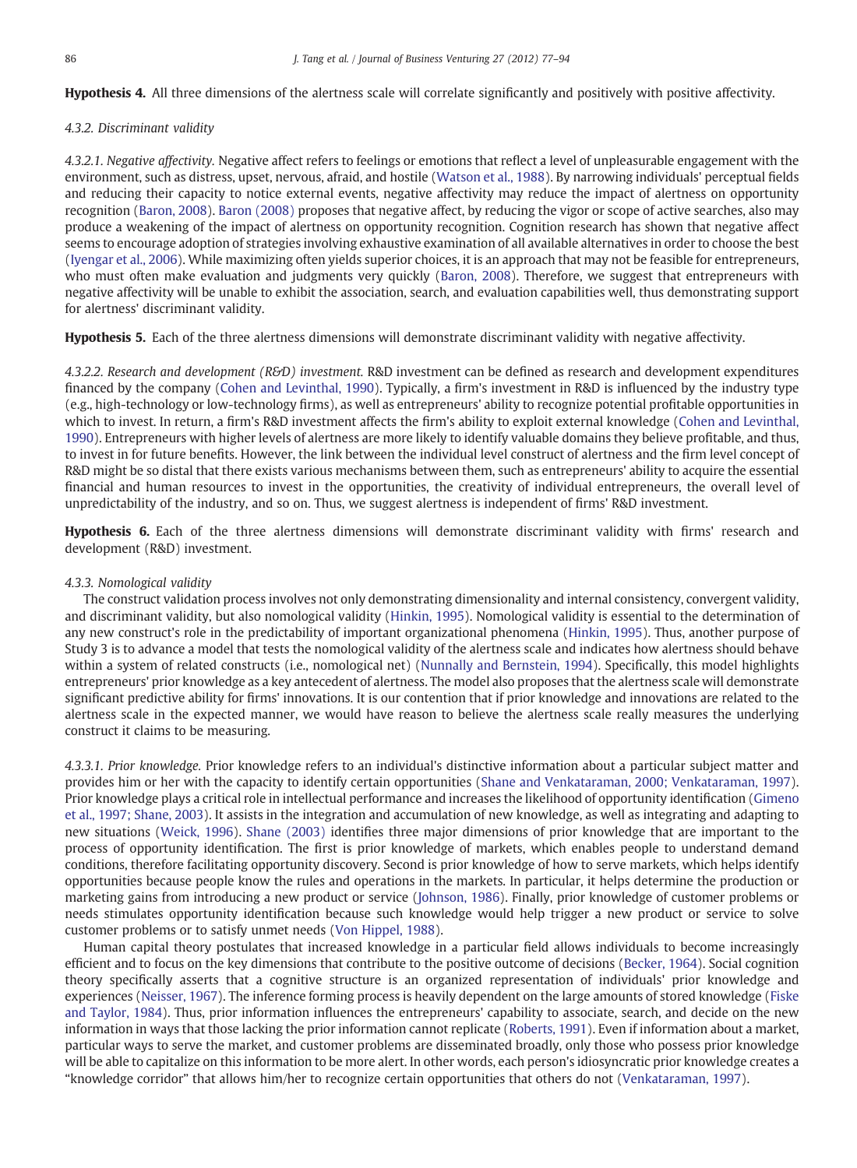<span id="page-9-0"></span>Hypothesis 4. All three dimensions of the alertness scale will correlate significantly and positively with positive affectivity.

# 4.3.2. Discriminant validity

4.3.2.1. Negative affectivity. Negative affect refers to feelings or emotions that reflect a level of unpleasurable engagement with the environment, such as distress, upset, nervous, afraid, and hostile [\(Watson et al., 1988](#page-17-0)). By narrowing individuals' perceptual fields and reducing their capacity to notice external events, negative affectivity may reduce the impact of alertness on opportunity recognition [\(Baron, 2008](#page-15-0)). [Baron \(2008\)](#page-15-0) proposes that negative affect, by reducing the vigor or scope of active searches, also may produce a weakening of the impact of alertness on opportunity recognition. Cognition research has shown that negative affect seems to encourage adoption of strategies involving exhaustive examination of all available alternatives in order to choose the best ([Iyengar et al., 2006\)](#page-16-0). While maximizing often yields superior choices, it is an approach that may not be feasible for entrepreneurs, who must often make evaluation and judgments very quickly ([Baron, 2008](#page-15-0)). Therefore, we suggest that entrepreneurs with negative affectivity will be unable to exhibit the association, search, and evaluation capabilities well, thus demonstrating support for alertness' discriminant validity.

Hypothesis 5. Each of the three alertness dimensions will demonstrate discriminant validity with negative affectivity.

4.3.2.2. Research and development (R&D) investment. R&D investment can be defined as research and development expenditures financed by the company [\(Cohen and Levinthal, 1990\)](#page-15-0). Typically, a firm's investment in R&D is influenced by the industry type (e.g., high-technology or low-technology firms), as well as entrepreneurs' ability to recognize potential profitable opportunities in which to invest. In return, a firm's R&D investment affects the firm's ability to exploit external knowledge [\(Cohen and Levinthal,](#page-15-0) [1990](#page-15-0)). Entrepreneurs with higher levels of alertness are more likely to identify valuable domains they believe profitable, and thus, to invest in for future benefits. However, the link between the individual level construct of alertness and the firm level concept of R&D might be so distal that there exists various mechanisms between them, such as entrepreneurs' ability to acquire the essential financial and human resources to invest in the opportunities, the creativity of individual entrepreneurs, the overall level of unpredictability of the industry, and so on. Thus, we suggest alertness is independent of firms' R&D investment.

Hypothesis 6. Each of the three alertness dimensions will demonstrate discriminant validity with firms' research and development (R&D) investment.

## 4.3.3. Nomological validity

The construct validation process involves not only demonstrating dimensionality and internal consistency, convergent validity, and discriminant validity, but also nomological validity [\(Hinkin, 1995\)](#page-16-0). Nomological validity is essential to the determination of any new construct's role in the predictability of important organizational phenomena ([Hinkin, 1995](#page-16-0)). Thus, another purpose of Study 3 is to advance a model that tests the nomological validity of the alertness scale and indicates how alertness should behave within a system of related constructs (i.e., nomological net) [\(Nunnally and Bernstein, 1994](#page-16-0)). Specifically, this model highlights entrepreneurs' prior knowledge as a key antecedent of alertness. The model also proposes that the alertness scale will demonstrate significant predictive ability for firms' innovations. It is our contention that if prior knowledge and innovations are related to the alertness scale in the expected manner, we would have reason to believe the alertness scale really measures the underlying construct it claims to be measuring.

4.3.3.1. Prior knowledge. Prior knowledge refers to an individual's distinctive information about a particular subject matter and provides him or her with the capacity to identify certain opportunities ([Shane and Venkataraman, 2000; Venkataraman, 1997](#page-17-0)). Prior knowledge plays a critical role in intellectual performance and increases the likelihood of opportunity identification ([Gimeno](#page-16-0) [et al., 1997; Shane, 2003](#page-16-0)). It assists in the integration and accumulation of new knowledge, as well as integrating and adapting to new situations [\(Weick, 1996](#page-17-0)). [Shane \(2003\)](#page-17-0) identifies three major dimensions of prior knowledge that are important to the process of opportunity identification. The first is prior knowledge of markets, which enables people to understand demand conditions, therefore facilitating opportunity discovery. Second is prior knowledge of how to serve markets, which helps identify opportunities because people know the rules and operations in the markets. In particular, it helps determine the production or marketing gains from introducing a new product or service [\(Johnson, 1986](#page-16-0)). Finally, prior knowledge of customer problems or needs stimulates opportunity identification because such knowledge would help trigger a new product or service to solve customer problems or to satisfy unmet needs ([Von Hippel, 1988](#page-17-0)).

Human capital theory postulates that increased knowledge in a particular field allows individuals to become increasingly efficient and to focus on the key dimensions that contribute to the positive outcome of decisions [\(Becker, 1964\)](#page-15-0). Social cognition theory specifically asserts that a cognitive structure is an organized representation of individuals' prior knowledge and experiences ([Neisser, 1967](#page-16-0)). The inference forming process is heavily dependent on the large amounts of stored knowledge [\(Fiske](#page-16-0) [and Taylor, 1984\)](#page-16-0). Thus, prior information influences the entrepreneurs' capability to associate, search, and decide on the new information in ways that those lacking the prior information cannot replicate [\(Roberts, 1991\)](#page-16-0). Even if information about a market, particular ways to serve the market, and customer problems are disseminated broadly, only those who possess prior knowledge will be able to capitalize on this information to be more alert. In other words, each person's idiosyncratic prior knowledge creates a "knowledge corridor" that allows him/her to recognize certain opportunities that others do not [\(Venkataraman, 1997\)](#page-17-0).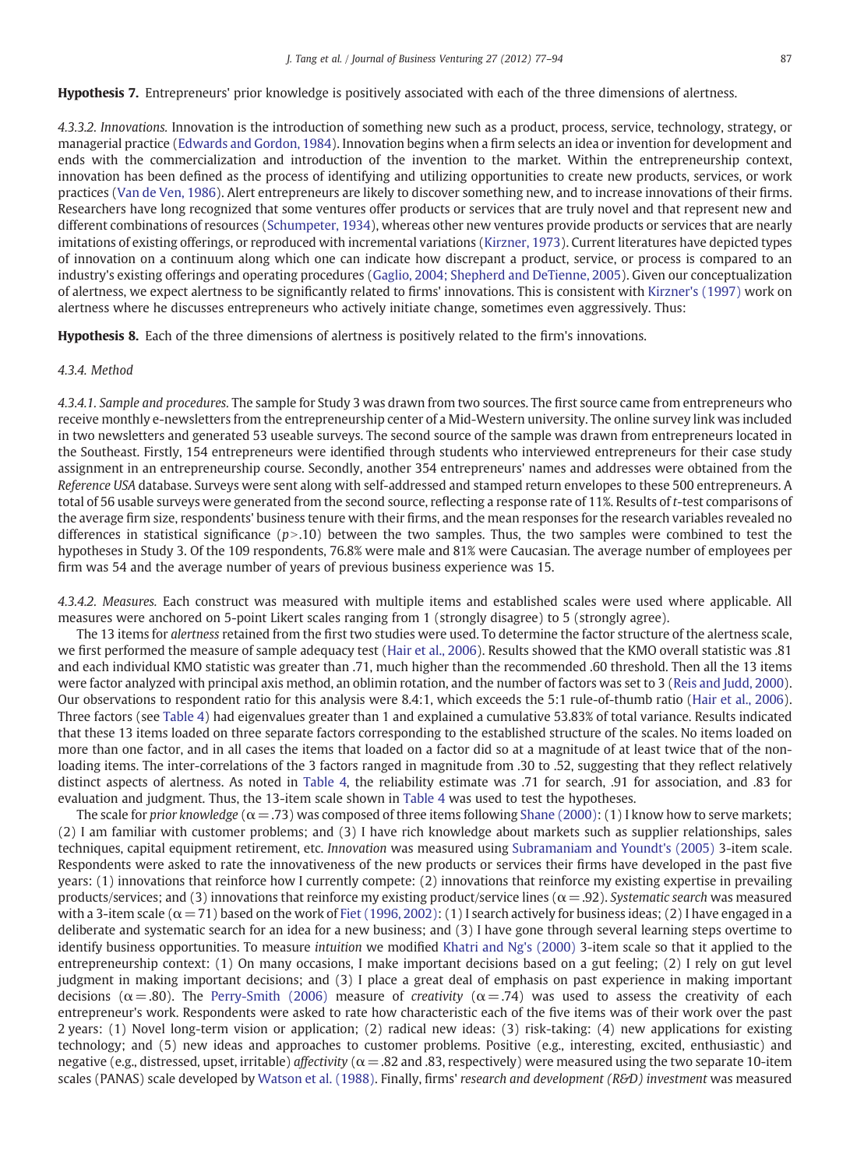<span id="page-10-0"></span>Hypothesis 7. Entrepreneurs' prior knowledge is positively associated with each of the three dimensions of alertness.

4.3.3.2. Innovations. Innovation is the introduction of something new such as a product, process, service, technology, strategy, or managerial practice [\(Edwards and Gordon, 1984\)](#page-16-0). Innovation begins when a firm selects an idea or invention for development and ends with the commercialization and introduction of the invention to the market. Within the entrepreneurship context, innovation has been defined as the process of identifying and utilizing opportunities to create new products, services, or work practices ([Van de Ven, 1986](#page-17-0)). Alert entrepreneurs are likely to discover something new, and to increase innovations of their firms. Researchers have long recognized that some ventures offer products or services that are truly novel and that represent new and different combinations of resources ([Schumpeter, 1934](#page-16-0)), whereas other new ventures provide products or services that are nearly imitations of existing offerings, or reproduced with incremental variations ([Kirzner, 1973](#page-16-0)). Current literatures have depicted types of innovation on a continuum along which one can indicate how discrepant a product, service, or process is compared to an industry's existing offerings and operating procedures ([Gaglio, 2004; Shepherd and DeTienne, 2005](#page-16-0)). Given our conceptualization of alertness, we expect alertness to be significantly related to firms' innovations. This is consistent with [Kirzner's \(1997\)](#page-16-0) work on alertness where he discusses entrepreneurs who actively initiate change, sometimes even aggressively. Thus:

Hypothesis 8. Each of the three dimensions of alertness is positively related to the firm's innovations.

# 4.3.4. Method

4.3.4.1. Sample and procedures. The sample for Study 3 was drawn from two sources. The first source came from entrepreneurs who receive monthly e-newsletters from the entrepreneurship center of a Mid-Western university. The online survey link was included in two newsletters and generated 53 useable surveys. The second source of the sample was drawn from entrepreneurs located in the Southeast. Firstly, 154 entrepreneurs were identified through students who interviewed entrepreneurs for their case study assignment in an entrepreneurship course. Secondly, another 354 entrepreneurs' names and addresses were obtained from the Reference USA database. Surveys were sent along with self-addressed and stamped return envelopes to these 500 entrepreneurs. A total of 56 usable surveys were generated from the second source, reflecting a response rate of 11%. Results of t-test comparisons of the average firm size, respondents' business tenure with their firms, and the mean responses for the research variables revealed no differences in statistical significance ( $p>10$ ) between the two samples. Thus, the two samples were combined to test the hypotheses in Study 3. Of the 109 respondents, 76.8% were male and 81% were Caucasian. The average number of employees per firm was 54 and the average number of years of previous business experience was 15.

4.3.4.2. Measures. Each construct was measured with multiple items and established scales were used where applicable. All measures were anchored on 5-point Likert scales ranging from 1 (strongly disagree) to 5 (strongly agree).

The 13 items for alertness retained from the first two studies were used. To determine the factor structure of the alertness scale, we first performed the measure of sample adequacy test ([Hair et al., 2006\)](#page-16-0). Results showed that the KMO overall statistic was .81 and each individual KMO statistic was greater than .71, much higher than the recommended .60 threshold. Then all the 13 items were factor analyzed with principal axis method, an oblimin rotation, and the number of factors was set to 3 ([Reis and Judd, 2000\)](#page-16-0). Our observations to respondent ratio for this analysis were 8.4:1, which exceeds the 5:1 rule-of-thumb ratio ([Hair et al., 2006\)](#page-16-0). Three factors (see [Table 4\)](#page-7-0) had eigenvalues greater than 1 and explained a cumulative 53.83% of total variance. Results indicated that these 13 items loaded on three separate factors corresponding to the established structure of the scales. No items loaded on more than one factor, and in all cases the items that loaded on a factor did so at a magnitude of at least twice that of the nonloading items. The inter-correlations of the 3 factors ranged in magnitude from .30 to .52, suggesting that they reflect relatively distinct aspects of alertness. As noted in [Table 4](#page-7-0), the reliability estimate was .71 for search, .91 for association, and .83 for evaluation and judgment. Thus, the 13-item scale shown in [Table 4](#page-7-0) was used to test the hypotheses.

The scale for prior knowledge ( $\alpha$  = .73) was composed of three items following [Shane \(2000\)](#page-17-0): (1) I know how to serve markets; (2) I am familiar with customer problems; and (3) I have rich knowledge about markets such as supplier relationships, sales techniques, capital equipment retirement, etc. Innovation was measured using [Subramaniam and Youndt's \(2005\)](#page-17-0) 3-item scale. Respondents were asked to rate the innovativeness of the new products or services their firms have developed in the past five years: (1) innovations that reinforce how I currently compete: (2) innovations that reinforce my existing expertise in prevailing products/services; and (3) innovations that reinforce my existing product/service lines ( $\alpha$  = .92). Systematic search was measured with a 3-item scale ( $\alpha$  = 71) based on the work of [Fiet \(1996, 2002\)](#page-16-0): (1) I search actively for business ideas; (2) I have engaged in a deliberate and systematic search for an idea for a new business; and (3) I have gone through several learning steps overtime to identify business opportunities. To measure intuition we modified [Khatri and Ng's \(2000\)](#page-16-0) 3-item scale so that it applied to the entrepreneurship context: (1) On many occasions, I make important decisions based on a gut feeling; (2) I rely on gut level judgment in making important decisions; and (3) I place a great deal of emphasis on past experience in making important decisions ( $\alpha$  = .80). The [Perry-Smith \(2006\)](#page-16-0) measure of creativity ( $\alpha$  = .74) was used to assess the creativity of each entrepreneur's work. Respondents were asked to rate how characteristic each of the five items was of their work over the past 2 years: (1) Novel long-term vision or application; (2) radical new ideas: (3) risk-taking: (4) new applications for existing technology; and (5) new ideas and approaches to customer problems. Positive (e.g., interesting, excited, enthusiastic) and negative (e.g., distressed, upset, irritable) affectivity ( $\alpha$  = .82 and .83, respectively) were measured using the two separate 10-item scales (PANAS) scale developed by [Watson et al. \(1988\)](#page-17-0). Finally, firms' research and development (R&D) investment was measured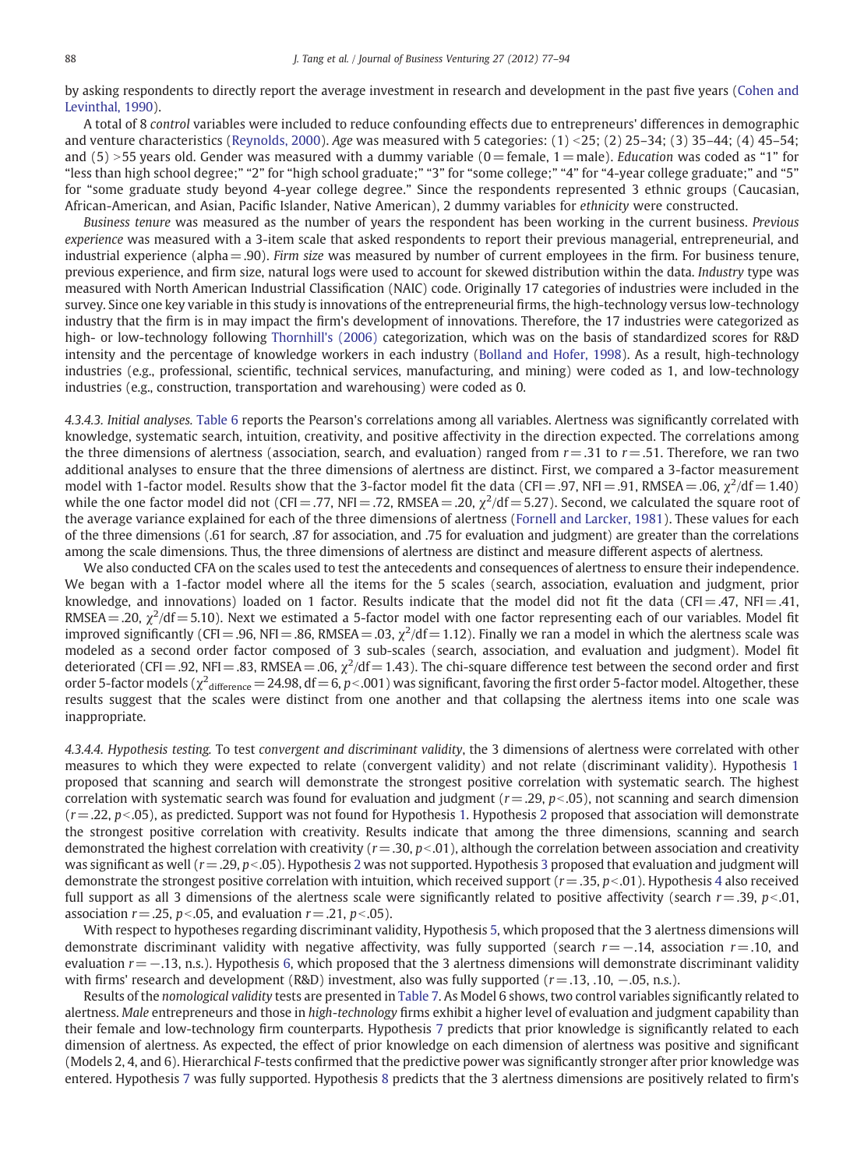by asking respondents to directly report the average investment in research and development in the past five years ([Cohen and](#page-15-0) [Levinthal, 1990](#page-15-0)).

A total of 8 control variables were included to reduce confounding effects due to entrepreneurs' differences in demographic and venture characteristics [\(Reynolds, 2000\)](#page-16-0). Age was measured with 5 categories:  $(1)$  <25;  $(2)$  25–34;  $(3)$  35–44;  $(4)$  45–54; and (5) >55 years old. Gender was measured with a dummy variable ( $0=$  female,  $1=$  male). *Education* was coded as "1" for "less than high school degree;" "2" for "high school graduate;" "3" for "some college;" "4" for "4-year college graduate;" and "5" for "some graduate study beyond 4-year college degree." Since the respondents represented 3 ethnic groups (Caucasian, African-American, and Asian, Pacific Islander, Native American), 2 dummy variables for ethnicity were constructed.

Business tenure was measured as the number of years the respondent has been working in the current business. Previous experience was measured with a 3-item scale that asked respondents to report their previous managerial, entrepreneurial, and industrial experience (alpha  $= 90$ ). Firm size was measured by number of current employees in the firm. For business tenure, previous experience, and firm size, natural logs were used to account for skewed distribution within the data. Industry type was measured with North American Industrial Classification (NAIC) code. Originally 17 categories of industries were included in the survey. Since one key variable in this study is innovations of the entrepreneurial firms, the high-technology versus low-technology industry that the firm is in may impact the firm's development of innovations. Therefore, the 17 industries were categorized as high- or low-technology following [Thornhill's \(2006\)](#page-17-0) categorization, which was on the basis of standardized scores for R&D intensity and the percentage of knowledge workers in each industry [\(Bolland and Hofer, 1998\)](#page-15-0). As a result, high-technology industries (e.g., professional, scientific, technical services, manufacturing, and mining) were coded as 1, and low-technology industries (e.g., construction, transportation and warehousing) were coded as 0.

4.3.4.3. Initial analyses. [Table 6](#page-12-0) reports the Pearson's correlations among all variables. Alertness was significantly correlated with knowledge, systematic search, intuition, creativity, and positive affectivity in the direction expected. The correlations among the three dimensions of alertness (association, search, and evaluation) ranged from  $r = .31$  to  $r = .51$ . Therefore, we ran two additional analyses to ensure that the three dimensions of alertness are distinct. First, we compared a 3-factor measurement model with 1-factor model. Results show that the 3-factor model fit the data (CFI = .97, NFI = .91, RMSEA = .06,  $\chi^2$ /df = 1.40) while the one factor model did not (CFI = .77, NFI = .72, RMSEA = .20,  $\chi^2$ /df = 5.27). Second, we calculated the square root of the average variance explained for each of the three dimensions of alertness ([Fornell and Larcker, 1981](#page-16-0)). These values for each of the three dimensions (.61 for search, .87 for association, and .75 for evaluation and judgment) are greater than the correlations among the scale dimensions. Thus, the three dimensions of alertness are distinct and measure different aspects of alertness.

We also conducted CFA on the scales used to test the antecedents and consequences of alertness to ensure their independence. We began with a 1-factor model where all the items for the 5 scales (search, association, evaluation and judgment, prior knowledge, and innovations) loaded on 1 factor. Results indicate that the model did not fit the data (CFI= .47, NFI= .41, RMSEA = .20,  $\chi^2$ /df = 5.10). Next we estimated a 5-factor model with one factor representing each of our variables. Model fit improved significantly (CFI = .96, NFI = .86, RMSEA = .03,  $\chi^2$ /df = 1.12). Finally we ran a model in which the alertness scale was modeled as a second order factor composed of 3 sub-scales (search, association, and evaluation and judgment). Model fit deteriorated (CFI = .92, NFI = .83, RMSEA = .06,  $\chi^2$ /df = 1.43). The chi-square difference test between the second order and first order 5-factor models ( $\chi^2$ <sub>difference</sub> = 24.98, df = 6, p<.001) was significant, favoring the first order 5-factor model. Altogether, these results suggest that the scales were distinct from one another and that collapsing the alertness items into one scale was inappropriate.

4.3.4.4. Hypothesis testing. To test convergent and discriminant validity, the 3 dimensions of alertness were correlated with other measures to which they were expected to relate (convergent validity) and not relate (discriminant validity). Hypothesis [1](#page-8-0) proposed that scanning and search will demonstrate the strongest positive correlation with systematic search. The highest correlation with systematic search was found for evaluation and judgment  $(r=.29, p<.05)$ , not scanning and search dimension  $(r=.22, p<.05)$  $(r=.22, p<.05)$  $(r=.22, p<.05)$ , as predicted. Support was not found for Hypothesis [1](#page-8-0). Hypothesis 2 proposed that association will demonstrate the strongest positive correlation with creativity. Results indicate that among the three dimensions, scanning and search demonstrated the highest correlation with creativity ( $r = .30$ ,  $p < .01$ ), although the correlation between association and creativity was significant as well ( $r = .29$  $r = .29$  $r = .29$ ,  $p < .05$ ). Hypothesis 2 was not supported. Hypothesis [3](#page-8-0) proposed that evaluation and judgment will demonstrate the strongest positive correlation with intuition, which received support ( $r = .35$ ,  $p < .01$ ). Hypothesis [4](#page-9-0) also received full support as all 3 dimensions of the alertness scale were significantly related to positive affectivity (search  $r = .39$ ,  $p < .01$ , association  $r = .25$ ,  $p < .05$ , and evaluation  $r = .21$ ,  $p < .05$ ).

With respect to hypotheses regarding discriminant validity, Hypothesis [5,](#page-9-0) which proposed that the 3 alertness dimensions will demonstrate discriminant validity with negative affectivity, was fully supported (search  $r = -0.14$ , association  $r = 0.10$ , and evaluation  $r=-.13$ , n.s.). Hypothesis [6](#page-9-0), which proposed that the 3 alertness dimensions will demonstrate discriminant validity with firms' research and development (R&D) investment, also was fully supported ( $r = .13, .10, -.05, n.s.$ ).

Results of the nomological validity tests are presented in [Table 7.](#page-13-0) As Model 6 shows, two control variables significantly related to alertness. Male entrepreneurs and those in high-technology firms exhibit a higher level of evaluation and judgment capability than their female and low-technology firm counterparts. Hypothesis [7](#page-10-0) predicts that prior knowledge is significantly related to each dimension of alertness. As expected, the effect of prior knowledge on each dimension of alertness was positive and significant (Models 2, 4, and 6). Hierarchical F-tests confirmed that the predictive power was significantly stronger after prior knowledge was entered. Hypothesis [7](#page-10-0) was fully supported. Hypothesis [8](#page-10-0) predicts that the 3 alertness dimensions are positively related to firm's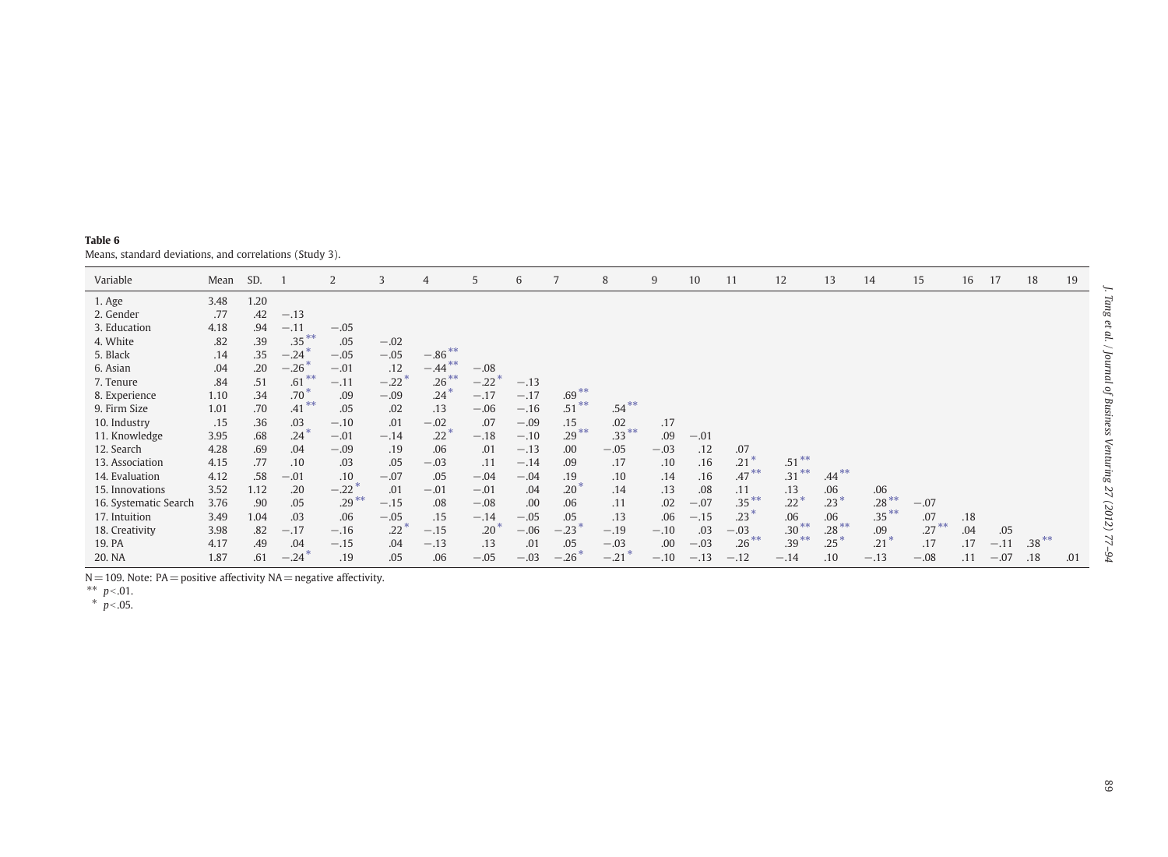<span id="page-12-0"></span>

| Table 6                                                 |  |
|---------------------------------------------------------|--|
| Means, standard deviations, and correlations (Study 3). |  |

| Variable              | Mean | SD.  |                     | 2        | 3      | 4                  | 5               | 6      |                     | 8        | 9      | 10     | 11       | 12       | 13       | 14       | 15       | 16  | 17     | 18       | 19  |
|-----------------------|------|------|---------------------|----------|--------|--------------------|-----------------|--------|---------------------|----------|--------|--------|----------|----------|----------|----------|----------|-----|--------|----------|-----|
| 1. Age                | 3.48 | 1.20 |                     |          |        |                    |                 |        |                     |          |        |        |          |          |          |          |          |     |        |          |     |
| 2. Gender             | .77  | .42  | $-.13$              |          |        |                    |                 |        |                     |          |        |        |          |          |          |          |          |     |        |          |     |
| 3. Education          | 4.18 | .94  | $-.11$              | $-.05$   |        |                    |                 |        |                     |          |        |        |          |          |          |          |          |     |        |          |     |
| 4. White              | .82  | .39  | $.35***$            | .05      | $-.02$ |                    |                 |        |                     |          |        |        |          |          |          |          |          |     |        |          |     |
| 5. Black              | .14  | .35  | $-.24$ <sup>2</sup> | $-.05$   | $-.05$ | $-.86***$          |                 |        |                     |          |        |        |          |          |          |          |          |     |        |          |     |
| 6. Asian              | .04  | .20  | $-.26'$             | $-.01$   | .12    | $-.44***$          | $-.08$          |        |                     |          |        |        |          |          |          |          |          |     |        |          |     |
| 7. Tenure             | .84  | .51  | .61                 | $-.11$   | $-.22$ | $.26***$           | $-.22$          | $-.13$ |                     |          |        |        |          |          |          |          |          |     |        |          |     |
| 8. Experience         | 1.10 | .34  | $.70^{\degree}$     | .09      | $-.09$ | $.24$ <sup>*</sup> | $-.17$          | $-.17$ | $.69***$            |          |        |        |          |          |          |          |          |     |        |          |     |
| 9. Firm Size          | 1.01 | .70  | $.41***$            | .05      | .02    | .13                | $-.06$          | $-.16$ | **<br>.51           | $.54***$ |        |        |          |          |          |          |          |     |        |          |     |
| 10. Industry          | .15  | .36  | .03                 | $-.10$   | .01    | $-.02$             | .07             | $-.09$ | .15                 | .02      | .17    |        |          |          |          |          |          |     |        |          |     |
| 11. Knowledge         | 3.95 | .68  | .24                 | $-.01$   | $-.14$ | $.22^{\circ}$      | $-.18$          | $-.10$ | $.29***$            | $.33***$ | .09    | $-.01$ |          |          |          |          |          |     |        |          |     |
| 12. Search            | 4.28 | .69  | .04                 | $-.09$   | .19    | .06                | .01             | $-.13$ | .00.                | $-.05$   | $-.03$ | .12    | .07      |          |          |          |          |     |        |          |     |
| 13. Association       | 4.15 | .77  | .10                 | .03      | .05    | $-.03$             | .11             | $-.14$ | .09                 | .17      | .10    | .16    | .21      | $.51***$ |          |          |          |     |        |          |     |
| 14. Evaluation        | 4.12 | .58  | $-.01$              | .10      | $-.07$ | .05                | $-.04$          | $-.04$ | .19                 | .10      | .14    | .16    | $.47***$ | $.31***$ | $.44***$ |          |          |     |        |          |     |
| 15. Innovations       | 3.52 | 1.12 | .20                 | $-.22*$  | .01    | $-.01$             | $-.01$          | .04    | .20 <sup>2</sup>    | .14      | .13    | .08    | .11      | .13      | .06      | .06      |          |     |        |          |     |
| 16. Systematic Search | 3.76 | .90  | .05                 | $.29***$ | $-.15$ | .08                | $-.08$          | .00    | .06                 | .11      | .02    | $-.07$ | $.35***$ | .22      | $.23*$   | $.28***$ | $-.07$   |     |        |          |     |
| 17. Intuition         | 3.49 | 1.04 | .03                 | .06      | $-.05$ | .15                | $-.14$          | $-.05$ | .05                 | .13      | .06    | $-.15$ | .23      | .06      | .06      | $.35***$ | .07      | .18 |        |          |     |
| 18. Creativity        | 3.98 | .82  | $-.17$              | $-.16$   | .22    | $-.15$             | $.20^{\degree}$ | $-.06$ | $-.23$              | $-.19$   | $-.10$ | .03    | $-.03$   | $.30***$ | $.28***$ | .09      | $.27***$ | .04 | .05    |          |     |
| 19. PA                | 4.17 | .49  | .04                 | $-.15$   | .04    | $-.13$             | .13             | .01    | .05                 | $-.03$   | .00.   | $-.03$ | $.26***$ | $.39***$ | $.25*$   | $.21*$   | .17      | .17 | $-.11$ | $.38***$ |     |
| 20. NA                | 1.87 | .61  | $-.24$              | .19      | .05    | .06                | $-.05$          | $-.03$ | $-.26$ <sup>*</sup> | $-.21$   | $-.10$ | $-.13$ | $-.12$   | $-.14$   | .10      | $-.13$   | $-.08$   | .11 | $-.07$ | .18      | .01 |

N = 109. Note: PA = positive affectivity NA = negative affectivity.<br>
\*\* p < 0.01.<br>
\* p < 0.05.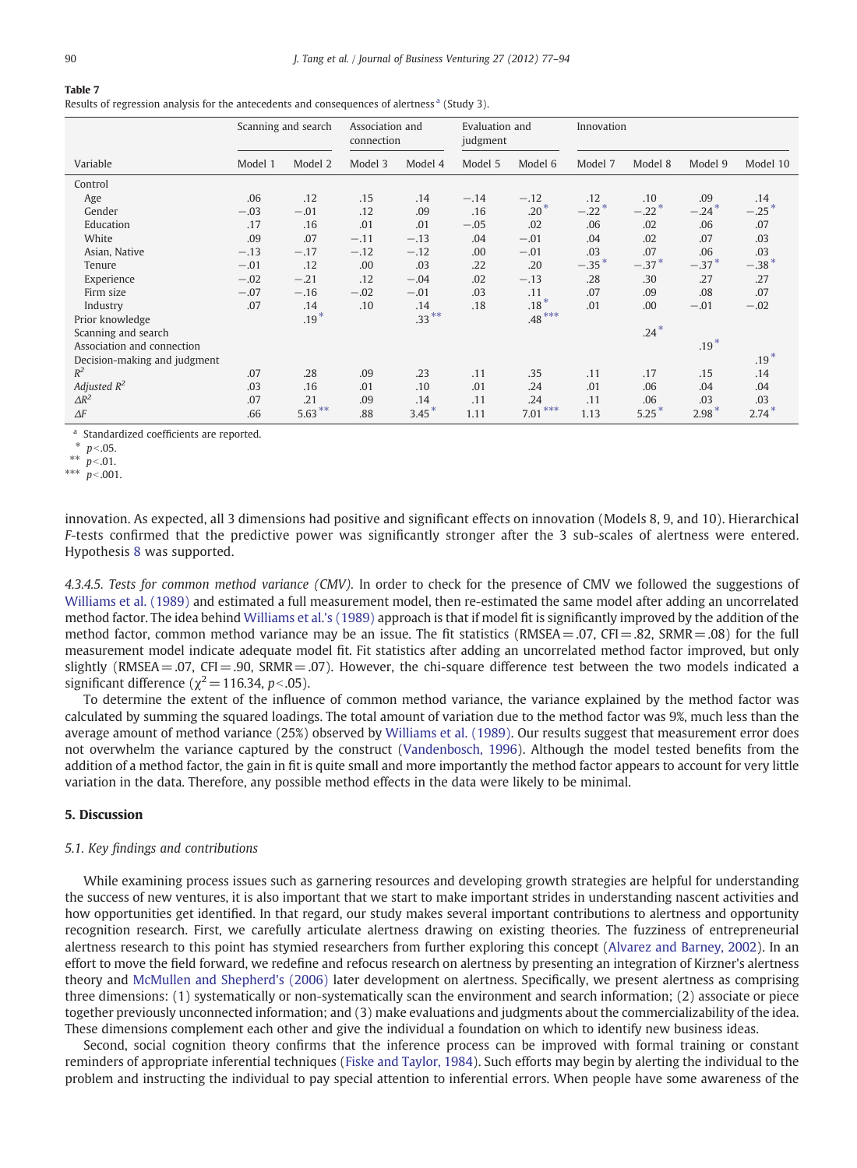<span id="page-13-0"></span>

| controllers.<br>۰. |  |
|--------------------|--|
|--------------------|--|

Results of regression analysis for the antecedents and consequences of alertness<sup>a</sup> (Study 3).

|                              |         | Scanning and search | Association and<br>connection |          | Evaluation and<br>judgment |             | Innovation |         |         |          |
|------------------------------|---------|---------------------|-------------------------------|----------|----------------------------|-------------|------------|---------|---------|----------|
| Variable                     | Model 1 | Model 2             | Model 3                       | Model 4  | Model 5                    | Model 6     | Model 7    | Model 8 | Model 9 | Model 10 |
| Control                      |         |                     |                               |          |                            |             |            |         |         |          |
| Age                          | .06     | .12                 | .15                           | .14      | $-.14$                     | $-.12$      | .12        | .10     | .09     | .14      |
| Gender                       | $-.03$  | $-.01$              | .12                           | .09      | .16                        | $.20*$      | $-.22*$    | $-.22*$ | $-.24*$ | $-.25*$  |
| Education                    | .17     | .16                 | .01                           | .01      | $-.05$                     | .02         | .06        | .02     | .06     | .07      |
| White                        | .09     | .07                 | $-.11$                        | $-.13$   | .04                        | $-.01$      | .04        | .02     | .07     | .03      |
| Asian, Native                | $-.13$  | $-.17$              | $-.12$                        | $-.12$   | .00                        | $-.01$      | .03        | .07     | .06     | .03      |
| Tenure                       | $-.01$  | .12                 | .00                           | .03      | .22                        | .20         | $-.35*$    | $-.37*$ | $-.37*$ | $-.38*$  |
| Experience                   | $-.02$  | $-.21$              | .12                           | $-.04$   | .02                        | $-.13$      | .28        | .30     | .27     | .27      |
| Firm size                    | $-.07$  | $-.16$              | $-.02$                        | $-.01$   | .03                        | .11         | .07        | .09     | .08     | .07      |
| Industry                     | .07     | .14                 | .10                           | .14      | .18                        | $.18*$      | .01        | .00     | $-.01$  | $-.02$   |
| Prior knowledge              |         | $.19*$              |                               | $.33***$ |                            | $.48***$    |            |         |         |          |
| Scanning and search          |         |                     |                               |          |                            |             |            | $.24*$  |         |          |
| Association and connection   |         |                     |                               |          |                            |             |            |         | $.19*$  |          |
| Decision-making and judgment |         |                     |                               |          |                            |             |            |         |         | $.19*$   |
| $R^2$                        | .07     | .28                 | .09                           | .23      | .11                        | .35         | .11        | .17     | .15     | .14      |
| Adjusted $R^2$               | .03     | .16                 | .01                           | .10      | .01                        | .24         | .01        | .06     | .04     | .04      |
| $\Delta R^2$                 | .07     | .21                 | .09                           | .14      | .11                        | .24         | .11        | .06     | .03     | .03      |
| $\Delta F$                   | .66     | $5.63***$           | .88                           | $3.45*$  | 1.11                       | ***<br>7.01 | 1.13       | $5.25*$ | $2.98*$ | $2.74*$  |

<sup>a</sup> Standardized coefficients are reported.

innovation. As expected, all 3 dimensions had positive and significant effects on innovation (Models 8, 9, and 10). Hierarchical F-tests confirmed that the predictive power was significantly stronger after the 3 sub-scales of alertness were entered. Hypothesis [8](#page-10-0) was supported.

4.3.4.5. Tests for common method variance (CMV). In order to check for the presence of CMV we followed the suggestions of [Williams et al. \(1989\)](#page-17-0) and estimated a full measurement model, then re-estimated the same model after adding an uncorrelated method factor. The idea behind [Williams et al.'s \(1989\)](#page-17-0) approach is that if model fit is significantly improved by the addition of the method factor, common method variance may be an issue. The fit statistics (RMSEA = .07, CFI = .82, SRMR = .08) for the full measurement model indicate adequate model fit. Fit statistics after adding an uncorrelated method factor improved, but only slightly (RMSEA = .07, CFI = .90, SRMR = .07). However, the chi-square difference test between the two models indicated a significant difference ( $\gamma^2$  = 116.34, p < 05).

To determine the extent of the influence of common method variance, the variance explained by the method factor was calculated by summing the squared loadings. The total amount of variation due to the method factor was 9%, much less than the average amount of method variance (25%) observed by [Williams et al. \(1989\).](#page-17-0) Our results suggest that measurement error does not overwhelm the variance captured by the construct [\(Vandenbosch, 1996](#page-17-0)). Although the model tested benefits from the addition of a method factor, the gain in fit is quite small and more importantly the method factor appears to account for very little variation in the data. Therefore, any possible method effects in the data were likely to be minimal.

# 5. Discussion

# 5.1. Key findings and contributions

While examining process issues such as garnering resources and developing growth strategies are helpful for understanding the success of new ventures, it is also important that we start to make important strides in understanding nascent activities and how opportunities get identified. In that regard, our study makes several important contributions to alertness and opportunity recognition research. First, we carefully articulate alertness drawing on existing theories. The fuzziness of entrepreneurial alertness research to this point has stymied researchers from further exploring this concept [\(Alvarez and Barney, 2002\)](#page-15-0). In an effort to move the field forward, we redefine and refocus research on alertness by presenting an integration of Kirzner's alertness theory and [McMullen and Shepherd's \(2006\)](#page-16-0) later development on alertness. Specifically, we present alertness as comprising three dimensions: (1) systematically or non-systematically scan the environment and search information; (2) associate or piece together previously unconnected information; and (3) make evaluations and judgments about the commercializability of the idea. These dimensions complement each other and give the individual a foundation on which to identify new business ideas.

Second, social cognition theory confirms that the inference process can be improved with formal training or constant reminders of appropriate inferential techniques [\(Fiske and Taylor, 1984](#page-16-0)). Such efforts may begin by alerting the individual to the problem and instructing the individual to pay special attention to inferential errors. When people have some awareness of the

<sup>\*</sup>  $p < .05$ .

<sup>\*\*</sup>  $p<.01$ .

<sup>\*\*\*</sup>  $p<.001$ .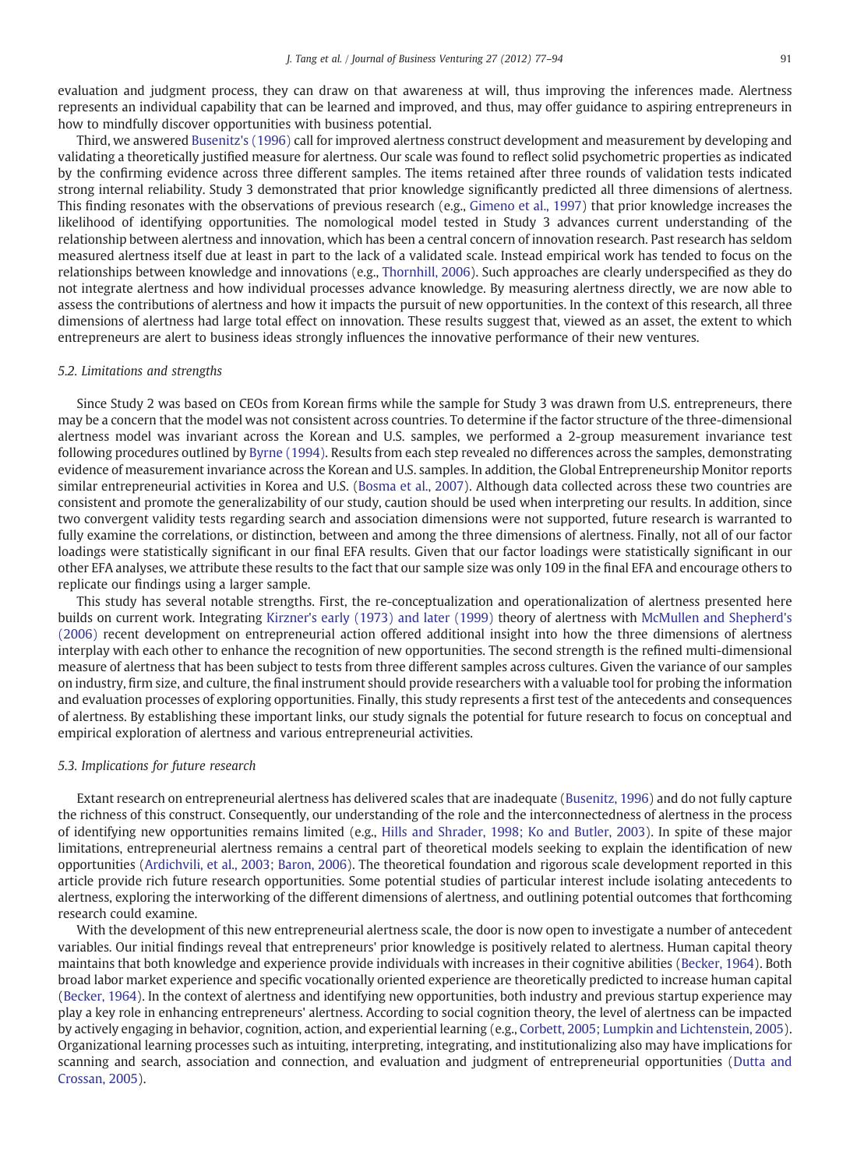evaluation and judgment process, they can draw on that awareness at will, thus improving the inferences made. Alertness represents an individual capability that can be learned and improved, and thus, may offer guidance to aspiring entrepreneurs in how to mindfully discover opportunities with business potential.

Third, we answered [Busenitz's \(1996\)](#page-15-0) call for improved alertness construct development and measurement by developing and validating a theoretically justified measure for alertness. Our scale was found to reflect solid psychometric properties as indicated by the confirming evidence across three different samples. The items retained after three rounds of validation tests indicated strong internal reliability. Study 3 demonstrated that prior knowledge significantly predicted all three dimensions of alertness. This finding resonates with the observations of previous research (e.g., [Gimeno et al., 1997\)](#page-16-0) that prior knowledge increases the likelihood of identifying opportunities. The nomological model tested in Study 3 advances current understanding of the relationship between alertness and innovation, which has been a central concern of innovation research. Past research has seldom measured alertness itself due at least in part to the lack of a validated scale. Instead empirical work has tended to focus on the relationships between knowledge and innovations (e.g., [Thornhill, 2006\)](#page-17-0). Such approaches are clearly underspecified as they do not integrate alertness and how individual processes advance knowledge. By measuring alertness directly, we are now able to assess the contributions of alertness and how it impacts the pursuit of new opportunities. In the context of this research, all three dimensions of alertness had large total effect on innovation. These results suggest that, viewed as an asset, the extent to which entrepreneurs are alert to business ideas strongly influences the innovative performance of their new ventures.

# 5.2. Limitations and strengths

Since Study 2 was based on CEOs from Korean firms while the sample for Study 3 was drawn from U.S. entrepreneurs, there may be a concern that the model was not consistent across countries. To determine if the factor structure of the three-dimensional alertness model was invariant across the Korean and U.S. samples, we performed a 2-group measurement invariance test following procedures outlined by [Byrne \(1994\).](#page-15-0) Results from each step revealed no differences across the samples, demonstrating evidence of measurement invariance across the Korean and U.S. samples. In addition, the Global Entrepreneurship Monitor reports similar entrepreneurial activities in Korea and U.S. ([Bosma et al., 2007\)](#page-15-0). Although data collected across these two countries are consistent and promote the generalizability of our study, caution should be used when interpreting our results. In addition, since two convergent validity tests regarding search and association dimensions were not supported, future research is warranted to fully examine the correlations, or distinction, between and among the three dimensions of alertness. Finally, not all of our factor loadings were statistically significant in our final EFA results. Given that our factor loadings were statistically significant in our other EFA analyses, we attribute these results to the fact that our sample size was only 109 in the final EFA and encourage others to replicate our findings using a larger sample.

This study has several notable strengths. First, the re-conceptualization and operationalization of alertness presented here builds on current work. Integrating [Kirzner's early \(1973\) and later \(1999\)](#page-16-0) theory of alertness with [McMullen and Shepherd's](#page-16-0) [\(2006\)](#page-16-0) recent development on entrepreneurial action offered additional insight into how the three dimensions of alertness interplay with each other to enhance the recognition of new opportunities. The second strength is the refined multi-dimensional measure of alertness that has been subject to tests from three different samples across cultures. Given the variance of our samples on industry, firm size, and culture, the final instrument should provide researchers with a valuable tool for probing the information and evaluation processes of exploring opportunities. Finally, this study represents a first test of the antecedents and consequences of alertness. By establishing these important links, our study signals the potential for future research to focus on conceptual and empirical exploration of alertness and various entrepreneurial activities.

# 5.3. Implications for future research

Extant research on entrepreneurial alertness has delivered scales that are inadequate [\(Busenitz, 1996\)](#page-15-0) and do not fully capture the richness of this construct. Consequently, our understanding of the role and the interconnectedness of alertness in the process of identifying new opportunities remains limited (e.g., [Hills and Shrader, 1998; Ko and Butler, 2003\)](#page-16-0). In spite of these major limitations, entrepreneurial alertness remains a central part of theoretical models seeking to explain the identification of new opportunities ([Ardichvili, et al., 2003; Baron, 2006](#page-15-0)). The theoretical foundation and rigorous scale development reported in this article provide rich future research opportunities. Some potential studies of particular interest include isolating antecedents to alertness, exploring the interworking of the different dimensions of alertness, and outlining potential outcomes that forthcoming research could examine.

With the development of this new entrepreneurial alertness scale, the door is now open to investigate a number of antecedent variables. Our initial findings reveal that entrepreneurs' prior knowledge is positively related to alertness. Human capital theory maintains that both knowledge and experience provide individuals with increases in their cognitive abilities ([Becker, 1964\)](#page-15-0). Both broad labor market experience and specific vocationally oriented experience are theoretically predicted to increase human capital [\(Becker, 1964\)](#page-15-0). In the context of alertness and identifying new opportunities, both industry and previous startup experience may play a key role in enhancing entrepreneurs' alertness. According to social cognition theory, the level of alertness can be impacted by actively engaging in behavior, cognition, action, and experiential learning (e.g., [Corbett, 2005; Lumpkin and Lichtenstein, 2005\)](#page-16-0). Organizational learning processes such as intuiting, interpreting, integrating, and institutionalizing also may have implications for scanning and search, association and connection, and evaluation and judgment of entrepreneurial opportunities ([Dutta and](#page-16-0) [Crossan, 2005](#page-16-0)).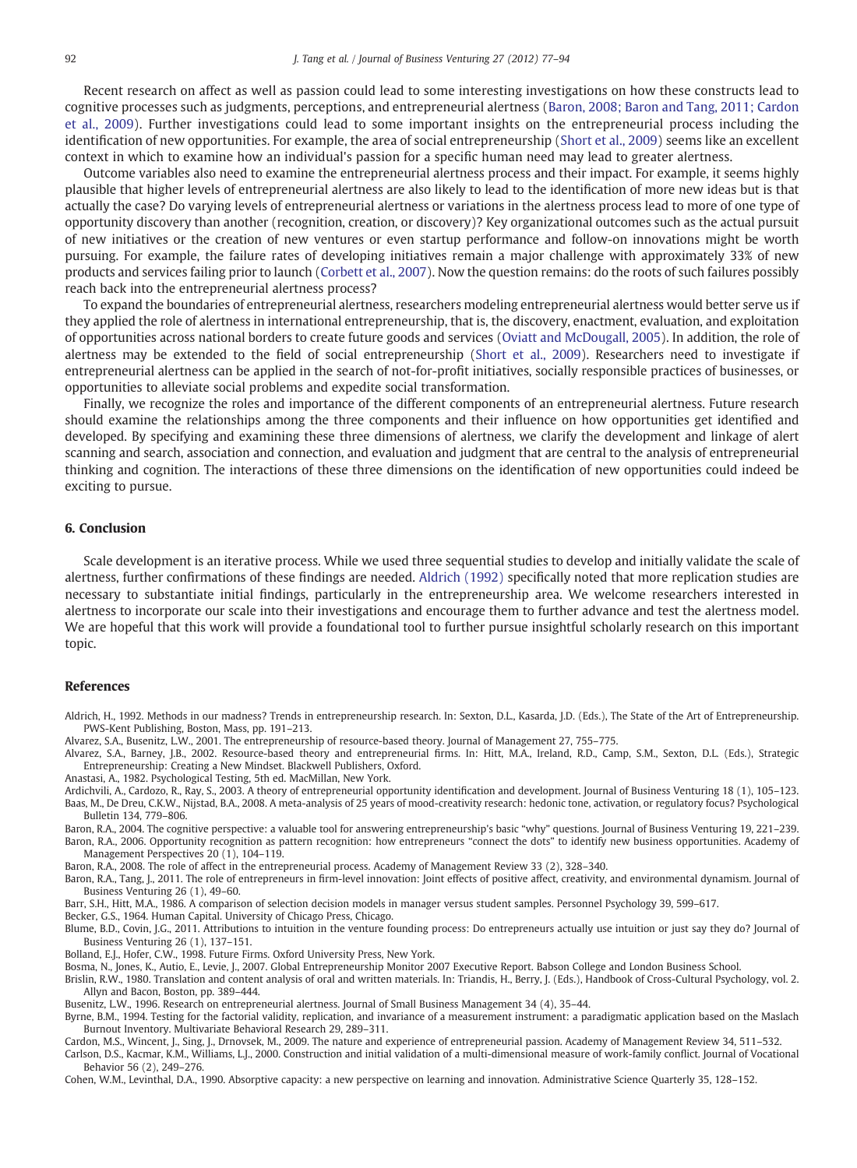<span id="page-15-0"></span>Recent research on affect as well as passion could lead to some interesting investigations on how these constructs lead to cognitive processes such as judgments, perceptions, and entrepreneurial alertness (Baron, 2008; Baron and Tang, 2011; Cardon et al., 2009). Further investigations could lead to some important insights on the entrepreneurial process including the identification of new opportunities. For example, the area of social entrepreneurship [\(Short et al., 2009\)](#page-17-0) seems like an excellent context in which to examine how an individual's passion for a specific human need may lead to greater alertness.

Outcome variables also need to examine the entrepreneurial alertness process and their impact. For example, it seems highly plausible that higher levels of entrepreneurial alertness are also likely to lead to the identification of more new ideas but is that actually the case? Do varying levels of entrepreneurial alertness or variations in the alertness process lead to more of one type of opportunity discovery than another (recognition, creation, or discovery)? Key organizational outcomes such as the actual pursuit of new initiatives or the creation of new ventures or even startup performance and follow-on innovations might be worth pursuing. For example, the failure rates of developing initiatives remain a major challenge with approximately 33% of new products and services failing prior to launch ([Corbett et al., 2007\)](#page-16-0). Now the question remains: do the roots of such failures possibly reach back into the entrepreneurial alertness process?

To expand the boundaries of entrepreneurial alertness, researchers modeling entrepreneurial alertness would better serve us if they applied the role of alertness in international entrepreneurship, that is, the discovery, enactment, evaluation, and exploitation of opportunities across national borders to create future goods and services ([Oviatt and McDougall, 2005\)](#page-16-0). In addition, the role of alertness may be extended to the field of social entrepreneurship [\(Short et al., 2009](#page-17-0)). Researchers need to investigate if entrepreneurial alertness can be applied in the search of not-for-profit initiatives, socially responsible practices of businesses, or opportunities to alleviate social problems and expedite social transformation.

Finally, we recognize the roles and importance of the different components of an entrepreneurial alertness. Future research should examine the relationships among the three components and their influence on how opportunities get identified and developed. By specifying and examining these three dimensions of alertness, we clarify the development and linkage of alert scanning and search, association and connection, and evaluation and judgment that are central to the analysis of entrepreneurial thinking and cognition. The interactions of these three dimensions on the identification of new opportunities could indeed be exciting to pursue.

# 6. Conclusion

Scale development is an iterative process. While we used three sequential studies to develop and initially validate the scale of alertness, further confirmations of these findings are needed. Aldrich (1992) specifically noted that more replication studies are necessary to substantiate initial findings, particularly in the entrepreneurship area. We welcome researchers interested in alertness to incorporate our scale into their investigations and encourage them to further advance and test the alertness model. We are hopeful that this work will provide a foundational tool to further pursue insightful scholarly research on this important topic.

## References

Aldrich, H., 1992. Methods in our madness? Trends in entrepreneurship research. In: Sexton, D.L., Kasarda, J.D. (Eds.), The State of the Art of Entrepreneurship. PWS-Kent Publishing, Boston, Mass, pp. 191–213.

Alvarez, S.A., Busenitz, L.W., 2001. The entrepreneurship of resource-based theory. Journal of Management 27, 755–775.

Alvarez, S.A., Barney, J.B., 2002. Resource-based theory and entrepreneurial firms. In: Hitt, M.A., Ireland, R.D., Camp, S.M., Sexton, D.L. (Eds.), Strategic Entrepreneurship: Creating a New Mindset. Blackwell Publishers, Oxford.

Anastasi, A., 1982. Psychological Testing, 5th ed. MacMillan, New York.

Ardichvili, A., Cardozo, R., Ray, S., 2003. A theory of entrepreneurial opportunity identification and development. Journal of Business Venturing 18 (1), 105–123. Baas, M., De Dreu, C.K.W., Nijstad, B.A., 2008. A meta-analysis of 25 years of mood-creativity research: hedonic tone, activation, or regulatory focus? Psychological Bulletin 134, 779–806.

Baron, R.A., 2004. The cognitive perspective: a valuable tool for answering entrepreneurship's basic "why" questions. Journal of Business Venturing 19, 221–239. Baron, R.A., 2006. Opportunity recognition as pattern recognition: how entrepreneurs "connect the dots" to identify new business opportunities. Academy of Management Perspectives 20 (1), 104–119.

Baron, R.A., 2008. The role of affect in the entrepreneurial process. Academy of Management Review 33 (2), 328–340.

Baron, R.A., Tang, J., 2011. The role of entrepreneurs in firm-level innovation: Joint effects of positive affect, creativity, and environmental dynamism. Journal of Business Venturing 26 (1), 49–60.

Barr, S.H., Hitt, M.A., 1986. A comparison of selection decision models in manager versus student samples. Personnel Psychology 39, 599–617.

Becker, G.S., 1964. Human Capital. University of Chicago Press, Chicago.

Blume, B.D., Covin, J.G., 2011. Attributions to intuition in the venture founding process: Do entrepreneurs actually use intuition or just say they do? Journal of Business Venturing 26 (1), 137–151.

Bolland, E.J., Hofer, C.W., 1998. Future Firms. Oxford University Press, New York.

Bosma, N., Jones, K., Autio, E., Levie, J., 2007. Global Entrepreneurship Monitor 2007 Executive Report. Babson College and London Business School.

Brislin, R.W., 1980. Translation and content analysis of oral and written materials. In: Triandis, H., Berry, J. (Eds.), Handbook of Cross-Cultural Psychology, vol. 2. Allyn and Bacon, Boston, pp. 389–444.

Busenitz, L.W., 1996. Research on entrepreneurial alertness. Journal of Small Business Management 34 (4), 35–44.

Byrne, B.M., 1994. Testing for the factorial validity, replication, and invariance of a measurement instrument: a paradigmatic application based on the Maslach Burnout Inventory. Multivariate Behavioral Research 29, 289–311.

Cardon, M.S., Wincent, J., Sing, J., Drnovsek, M., 2009. The nature and experience of entrepreneurial passion. Academy of Management Review 34, 511–532.

Carlson, D.S., Kacmar, K.M., Williams, L.J., 2000. Construction and initial validation of a multi-dimensional measure of work-family conflict. Journal of Vocational Behavior 56 (2), 249–276.

Cohen, W.M., Levinthal, D.A., 1990. Absorptive capacity: a new perspective on learning and innovation. Administrative Science Quarterly 35, 128–152.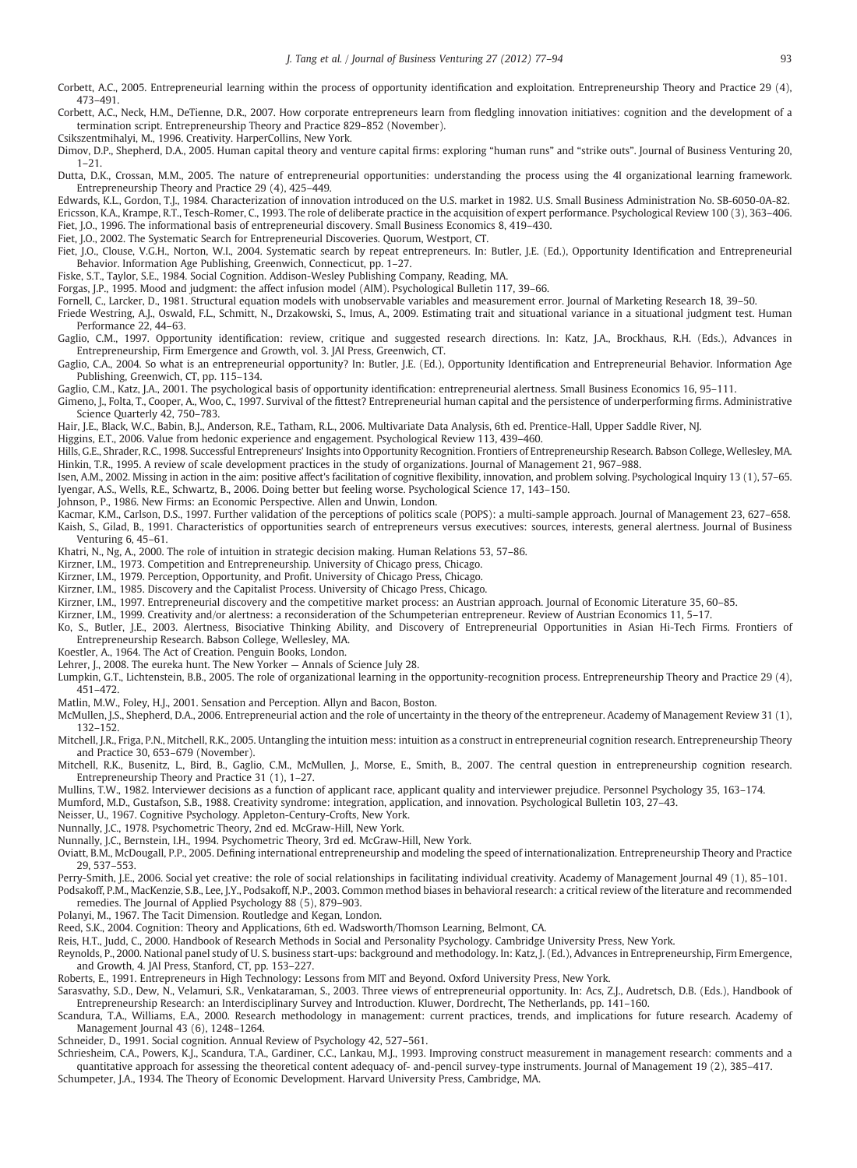- <span id="page-16-0"></span>Corbett, A.C., 2005. Entrepreneurial learning within the process of opportunity identification and exploitation. Entrepreneurship Theory and Practice 29 (4), 473–491.
- Corbett, A.C., Neck, H.M., DeTienne, D.R., 2007. How corporate entrepreneurs learn from fledgling innovation initiatives: cognition and the development of a termination script. Entrepreneurship Theory and Practice 829–852 (November).
- Csikszentmihalyi, M., 1996. Creativity. HarperCollins, New York.
- Dimov, D.P., Shepherd, D.A., 2005. Human capital theory and venture capital firms: exploring "human runs" and "strike outs". Journal of Business Venturing 20, 1–21.
- Dutta, D.K., Crossan, M.M., 2005. The nature of entrepreneurial opportunities: understanding the process using the 4I organizational learning framework. Entrepreneurship Theory and Practice 29 (4), 425–449.
- Edwards, K.L., Gordon, T.J., 1984. Characterization of innovation introduced on the U.S. market in 1982. U.S. Small Business Administration No. SB-6050-0A-82. Ericsson, K.A., Krampe, R.T., Tesch-Romer, C., 1993. The role of deliberate practice in the acquisition of expert performance. Psychological Review 100 (3), 363–406.
- Fiet, J.O., 1996. The informational basis of entrepreneurial discovery. Small Business Economics 8, 419–430.
- Fiet, J.O., 2002. The Systematic Search for Entrepreneurial Discoveries. Quorum, Westport, CT.
- Fiet, J.O., Clouse, V.G.H., Norton, W.I., 2004. Systematic search by repeat entrepreneurs. In: Butler, J.E. (Ed.), Opportunity Identification and Entrepreneurial Behavior. Information Age Publishing, Greenwich, Connecticut, pp. 1–27.
- Fiske, S.T., Taylor, S.E., 1984. Social Cognition. Addison-Wesley Publishing Company, Reading, MA.
- Forgas, J.P., 1995. Mood and judgment: the affect infusion model (AIM). Psychological Bulletin 117, 39–66.
- Fornell, C., Larcker, D., 1981. Structural equation models with unobservable variables and measurement error. Journal of Marketing Research 18, 39–50.
- Friede Westring, A.J., Oswald, F.L., Schmitt, N., Drzakowski, S., Imus, A., 2009. Estimating trait and situational variance in a situational judgment test. Human Performance 22, 44–63.
- Gaglio, C.M., 1997. Opportunity identification: review, critique and suggested research directions. In: Katz, J.A., Brockhaus, R.H. (Eds.), Advances in Entrepreneurship, Firm Emergence and Growth, vol. 3. JAI Press, Greenwich, CT.
- Gaglio, C.A., 2004. So what is an entrepreneurial opportunity? In: Butler, J.E. (Ed.), Opportunity Identification and Entrepreneurial Behavior. Information Age Publishing, Greenwich, CT, pp. 115–134.
- Gaglio, C.M., Katz, J.A., 2001. The psychological basis of opportunity identification: entrepreneurial alertness. Small Business Economics 16, 95–111.
- Gimeno, J., Folta, T., Cooper, A., Woo, C., 1997. Survival of the fittest? Entrepreneurial human capital and the persistence of underperforming firms. Administrative Science Quarterly 42, 750–783.
- Hair, J.E., Black, W.C., Babin, B.J., Anderson, R.E., Tatham, R.L., 2006. Multivariate Data Analysis, 6th ed. Prentice-Hall, Upper Saddle River, NJ.
- Higgins, E.T., 2006. Value from hedonic experience and engagement. Psychological Review 113, 439–460.
- Hills, G.E., Shrader, R.C., 1998. Successful Entrepreneurs' Insights into Opportunity Recognition. Frontiers of Entrepreneurship Research. Babson College, Wellesley, MA. Hinkin, T.R., 1995. A review of scale development practices in the study of organizations. Journal of Management 21, 967–988.
- Isen, A.M., 2002. Missing in action in the aim: positive affect's facilitation of cognitive flexibility, innovation, and problem solving. Psychological Inquiry 13 (1), 57–65. Iyengar, A.S., Wells, R.E., Schwartz, B., 2006. Doing better but feeling worse. Psychological Science 17, 143–150.
- Johnson, P., 1986. New Firms: an Economic Perspective. Allen and Unwin, London.
- Kacmar, K.M., Carlson, D.S., 1997. Further validation of the perceptions of politics scale (POPS): a multi-sample approach. Journal of Management 23, 627–658. Kaish, S., Gilad, B., 1991. Characteristics of opportunities search of entrepreneurs versus executives: sources, interests, general alertness. Journal of Business Venturing 6, 45–61.
- Khatri, N., Ng, A., 2000. The role of intuition in strategic decision making. Human Relations 53, 57–86.
- Kirzner, I.M., 1973. Competition and Entrepreneurship. University of Chicago press, Chicago.
- Kirzner, I.M., 1979. Perception, Opportunity, and Profit. University of Chicago Press, Chicago.
- Kirzner, I.M., 1985. Discovery and the Capitalist Process. University of Chicago Press, Chicago.
- Kirzner, I.M., 1997. Entrepreneurial discovery and the competitive market process: an Austrian approach. Journal of Economic Literature 35, 60–85.
- Kirzner, I.M., 1999. Creativity and/or alertness: a reconsideration of the Schumpeterian entrepreneur. Review of Austrian Economics 11, 5–17.
- Ko, S., Butler, J.E., 2003. Alertness, Bisociative Thinking Ability, and Discovery of Entrepreneurial Opportunities in Asian Hi-Tech Firms. Frontiers of Entrepreneurship Research. Babson College, Wellesley, MA.
- Koestler, A., 1964. The Act of Creation. Penguin Books, London.
- Lehrer, J., 2008. The eureka hunt. The New Yorker Annals of Science July 28.
- Lumpkin, G.T., Lichtenstein, B.B., 2005. The role of organizational learning in the opportunity-recognition process. Entrepreneurship Theory and Practice 29 (4),  $451 - 472$ .
- Matlin, M.W., Foley, H.J., 2001. Sensation and Perception. Allyn and Bacon, Boston.
- McMullen, J.S., Shepherd, D.A., 2006. Entrepreneurial action and the role of uncertainty in the theory of the entrepreneur. Academy of Management Review 31 (1), 132–152.
- Mitchell, J.R., Friga, P.N., Mitchell, R.K., 2005. Untangling the intuition mess: intuition as a construct in entrepreneurial cognition research. Entrepreneurship Theory and Practice 30, 653–679 (November).
- Mitchell, R.K., Busenitz, L., Bird, B., Gaglio, C.M., McMullen, J., Morse, E., Smith, B., 2007. The central question in entrepreneurship cognition research. Entrepreneurship Theory and Practice 31 (1), 1–27.
- Mullins, T.W., 1982. Interviewer decisions as a function of applicant race, applicant quality and interviewer prejudice. Personnel Psychology 35, 163–174.
- Mumford, M.D., Gustafson, S.B., 1988. Creativity syndrome: integration, application, and innovation. Psychological Bulletin 103, 27–43.
- Neisser, U., 1967. Cognitive Psychology. Appleton-Century-Crofts, New York.
- Nunnally, J.C., 1978. Psychometric Theory, 2nd ed. McGraw-Hill, New York.
- Nunnally, J.C., Bernstein, I.H., 1994. Psychometric Theory, 3rd ed. McGraw-Hill, New York.
- Oviatt, B.M., McDougall, P.P., 2005. Defining international entrepreneurship and modeling the speed of internationalization. Entrepreneurship Theory and Practice 29, 537–553.
- Perry-Smith, J.E., 2006. Social yet creative: the role of social relationships in facilitating individual creativity. Academy of Management Journal 49 (1), 85–101. Podsakoff, P.M., MacKenzie, S.B., Lee, J.Y., Podsakoff, N.P., 2003. Common method biases in behavioral research: a critical review of the literature and recommended
- remedies. The Journal of Applied Psychology 88 (5), 879–903.
- Polanyi, M., 1967. The Tacit Dimension. Routledge and Kegan, London.
- Reed, S.K., 2004. Cognition: Theory and Applications, 6th ed. Wadsworth/Thomson Learning, Belmont, CA.
- Reis, H.T., Judd, C., 2000. Handbook of Research Methods in Social and Personality Psychology. Cambridge University Press, New York.
- Reynolds, P., 2000. National panel study of U. S. business start-ups: background and methodology. In: Katz, J. (Ed.), Advances in Entrepreneurship, Firm Emergence, and Growth, 4. JAI Press, Stanford, CT, pp. 153–227.
- Roberts, E., 1991. Entrepreneurs in High Technology: Lessons from MIT and Beyond. Oxford University Press, New York.
- Sarasvathy, S.D., Dew, N., Velamuri, S.R., Venkataraman, S., 2003. Three views of entrepreneurial opportunity. In: Acs, Z.J., Audretsch, D.B. (Eds.), Handbook of Entrepreneurship Research: an Interdisciplinary Survey and Introduction. Kluwer, Dordrecht, The Netherlands, pp. 141–160.
- Scandura, T.A., Williams, E.A., 2000. Research methodology in management: current practices, trends, and implications for future research. Academy of Management Journal 43 (6), 1248–1264.
- Schneider, D., 1991. Social cognition. Annual Review of Psychology 42, 527–561.
- Schriesheim, C.A., Powers, K.J., Scandura, T.A., Gardiner, C.C., Lankau, M.J., 1993. Improving construct measurement in management research: comments and a quantitative approach for assessing the theoretical content adequacy of- and-pencil survey-type instruments. Journal of Management 19 (2), 385–417. Schumpeter, J.A., 1934. The Theory of Economic Development. Harvard University Press, Cambridge, MA.